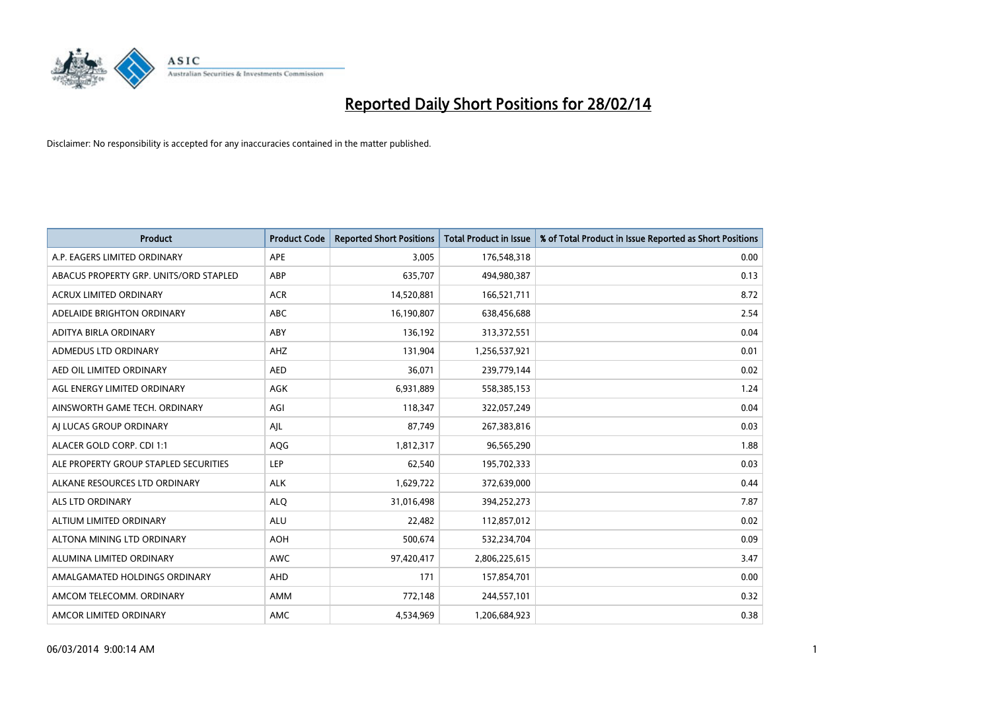

| <b>Product</b>                         | <b>Product Code</b> | <b>Reported Short Positions</b> | <b>Total Product in Issue</b> | % of Total Product in Issue Reported as Short Positions |
|----------------------------------------|---------------------|---------------------------------|-------------------------------|---------------------------------------------------------|
| A.P. EAGERS LIMITED ORDINARY           | APE                 | 3,005                           | 176,548,318                   | 0.00                                                    |
| ABACUS PROPERTY GRP. UNITS/ORD STAPLED | ABP                 | 635,707                         | 494,980,387                   | 0.13                                                    |
| <b>ACRUX LIMITED ORDINARY</b>          | <b>ACR</b>          | 14,520,881                      | 166,521,711                   | 8.72                                                    |
| ADELAIDE BRIGHTON ORDINARY             | <b>ABC</b>          | 16,190,807                      | 638,456,688                   | 2.54                                                    |
| ADITYA BIRLA ORDINARY                  | ABY                 | 136,192                         | 313,372,551                   | 0.04                                                    |
| ADMEDUS LTD ORDINARY                   | AHZ                 | 131,904                         | 1,256,537,921                 | 0.01                                                    |
| AED OIL LIMITED ORDINARY               | <b>AED</b>          | 36,071                          | 239,779,144                   | 0.02                                                    |
| AGL ENERGY LIMITED ORDINARY            | AGK                 | 6,931,889                       | 558,385,153                   | 1.24                                                    |
| AINSWORTH GAME TECH. ORDINARY          | AGI                 | 118,347                         | 322,057,249                   | 0.04                                                    |
| AJ LUCAS GROUP ORDINARY                | AJL                 | 87,749                          | 267,383,816                   | 0.03                                                    |
| ALACER GOLD CORP. CDI 1:1              | AQG                 | 1,812,317                       | 96,565,290                    | 1.88                                                    |
| ALE PROPERTY GROUP STAPLED SECURITIES  | LEP                 | 62,540                          | 195,702,333                   | 0.03                                                    |
| ALKANE RESOURCES LTD ORDINARY          | <b>ALK</b>          | 1,629,722                       | 372,639,000                   | 0.44                                                    |
| ALS LTD ORDINARY                       | <b>ALQ</b>          | 31,016,498                      | 394,252,273                   | 7.87                                                    |
| ALTIUM LIMITED ORDINARY                | <b>ALU</b>          | 22,482                          | 112,857,012                   | 0.02                                                    |
| ALTONA MINING LTD ORDINARY             | <b>AOH</b>          | 500,674                         | 532,234,704                   | 0.09                                                    |
| ALUMINA LIMITED ORDINARY               | <b>AWC</b>          | 97,420,417                      | 2,806,225,615                 | 3.47                                                    |
| AMALGAMATED HOLDINGS ORDINARY          | AHD                 | 171                             | 157,854,701                   | 0.00                                                    |
| AMCOM TELECOMM, ORDINARY               | AMM                 | 772,148                         | 244,557,101                   | 0.32                                                    |
| AMCOR LIMITED ORDINARY                 | AMC                 | 4,534,969                       | 1,206,684,923                 | 0.38                                                    |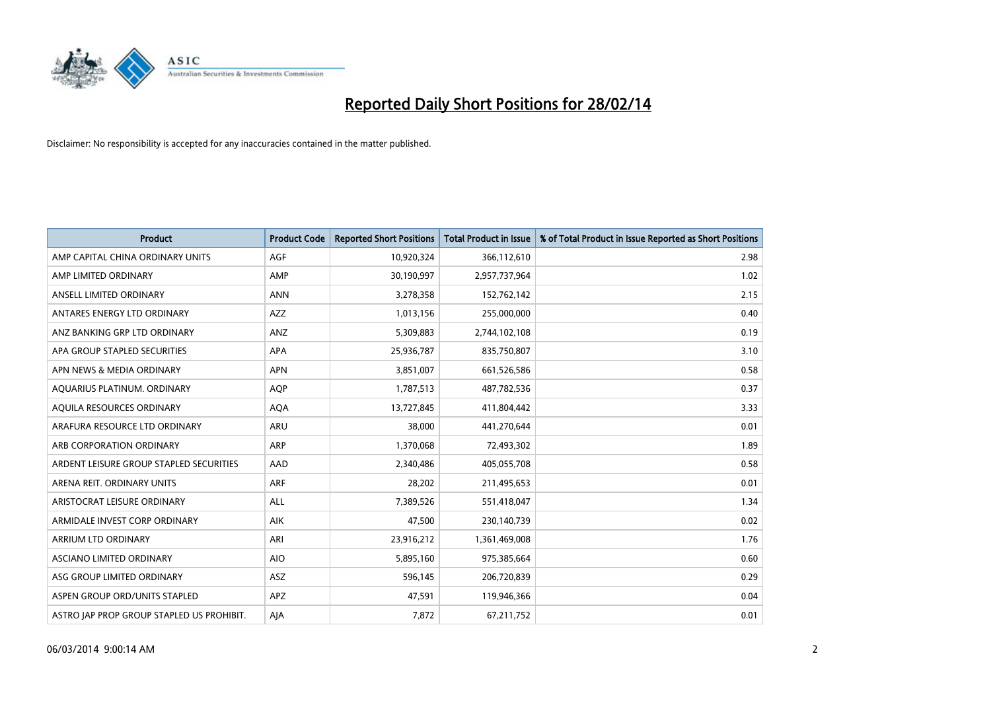

| <b>Product</b>                            | <b>Product Code</b> | <b>Reported Short Positions</b> | <b>Total Product in Issue</b> | % of Total Product in Issue Reported as Short Positions |
|-------------------------------------------|---------------------|---------------------------------|-------------------------------|---------------------------------------------------------|
| AMP CAPITAL CHINA ORDINARY UNITS          | AGF                 | 10,920,324                      | 366,112,610                   | 2.98                                                    |
| AMP LIMITED ORDINARY                      | AMP                 | 30,190,997                      | 2,957,737,964                 | 1.02                                                    |
| ANSELL LIMITED ORDINARY                   | <b>ANN</b>          | 3,278,358                       | 152,762,142                   | 2.15                                                    |
| ANTARES ENERGY LTD ORDINARY               | <b>AZZ</b>          | 1,013,156                       | 255,000,000                   | 0.40                                                    |
| ANZ BANKING GRP LTD ORDINARY              | ANZ                 | 5,309,883                       | 2,744,102,108                 | 0.19                                                    |
| APA GROUP STAPLED SECURITIES              | <b>APA</b>          | 25,936,787                      | 835,750,807                   | 3.10                                                    |
| APN NEWS & MEDIA ORDINARY                 | <b>APN</b>          | 3,851,007                       | 661,526,586                   | 0.58                                                    |
| AQUARIUS PLATINUM. ORDINARY               | <b>AOP</b>          | 1,787,513                       | 487,782,536                   | 0.37                                                    |
| AQUILA RESOURCES ORDINARY                 | <b>AQA</b>          | 13,727,845                      | 411,804,442                   | 3.33                                                    |
| ARAFURA RESOURCE LTD ORDINARY             | ARU                 | 38,000                          | 441,270,644                   | 0.01                                                    |
| ARB CORPORATION ORDINARY                  | ARP                 | 1,370,068                       | 72,493,302                    | 1.89                                                    |
| ARDENT LEISURE GROUP STAPLED SECURITIES   | AAD                 | 2,340,486                       | 405,055,708                   | 0.58                                                    |
| ARENA REIT. ORDINARY UNITS                | ARF                 | 28,202                          | 211,495,653                   | 0.01                                                    |
| ARISTOCRAT LEISURE ORDINARY               | ALL                 | 7,389,526                       | 551,418,047                   | 1.34                                                    |
| ARMIDALE INVEST CORP ORDINARY             | <b>AIK</b>          | 47,500                          | 230,140,739                   | 0.02                                                    |
| ARRIUM LTD ORDINARY                       | ARI                 | 23,916,212                      | 1,361,469,008                 | 1.76                                                    |
| ASCIANO LIMITED ORDINARY                  | <b>AIO</b>          | 5,895,160                       | 975,385,664                   | 0.60                                                    |
| ASG GROUP LIMITED ORDINARY                | <b>ASZ</b>          | 596,145                         | 206,720,839                   | 0.29                                                    |
| ASPEN GROUP ORD/UNITS STAPLED             | <b>APZ</b>          | 47,591                          | 119,946,366                   | 0.04                                                    |
| ASTRO JAP PROP GROUP STAPLED US PROHIBIT. | AJA                 | 7,872                           | 67,211,752                    | 0.01                                                    |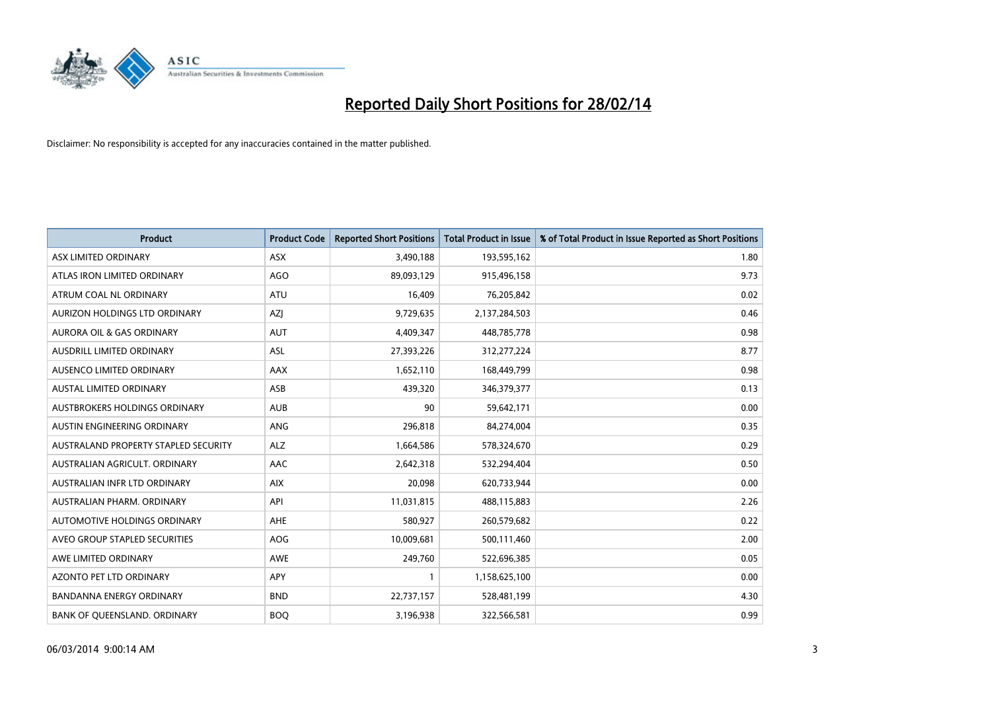

| Product                              | <b>Product Code</b> | <b>Reported Short Positions</b> | <b>Total Product in Issue</b> | % of Total Product in Issue Reported as Short Positions |
|--------------------------------------|---------------------|---------------------------------|-------------------------------|---------------------------------------------------------|
| ASX LIMITED ORDINARY                 | <b>ASX</b>          | 3,490,188                       | 193,595,162                   | 1.80                                                    |
| ATLAS IRON LIMITED ORDINARY          | <b>AGO</b>          | 89,093,129                      | 915,496,158                   | 9.73                                                    |
| ATRUM COAL NL ORDINARY               | <b>ATU</b>          | 16,409                          | 76,205,842                    | 0.02                                                    |
| AURIZON HOLDINGS LTD ORDINARY        | AZJ                 | 9,729,635                       | 2,137,284,503                 | 0.46                                                    |
| <b>AURORA OIL &amp; GAS ORDINARY</b> | <b>AUT</b>          | 4,409,347                       | 448,785,778                   | 0.98                                                    |
| AUSDRILL LIMITED ORDINARY            | ASL                 | 27,393,226                      | 312,277,224                   | 8.77                                                    |
| AUSENCO LIMITED ORDINARY             | <b>AAX</b>          | 1,652,110                       | 168,449,799                   | 0.98                                                    |
| <b>AUSTAL LIMITED ORDINARY</b>       | ASB                 | 439,320                         | 346,379,377                   | 0.13                                                    |
| AUSTBROKERS HOLDINGS ORDINARY        | <b>AUB</b>          | 90                              | 59,642,171                    | 0.00                                                    |
| AUSTIN ENGINEERING ORDINARY          | ANG                 | 296,818                         | 84,274,004                    | 0.35                                                    |
| AUSTRALAND PROPERTY STAPLED SECURITY | <b>ALZ</b>          | 1,664,586                       | 578,324,670                   | 0.29                                                    |
| AUSTRALIAN AGRICULT. ORDINARY        | AAC                 | 2,642,318                       | 532,294,404                   | 0.50                                                    |
| AUSTRALIAN INFR LTD ORDINARY         | <b>AIX</b>          | 20,098                          | 620,733,944                   | 0.00                                                    |
| AUSTRALIAN PHARM, ORDINARY           | API                 | 11,031,815                      | 488,115,883                   | 2.26                                                    |
| AUTOMOTIVE HOLDINGS ORDINARY         | AHE                 | 580,927                         | 260,579,682                   | 0.22                                                    |
| AVEO GROUP STAPLED SECURITIES        | AOG                 | 10,009,681                      | 500,111,460                   | 2.00                                                    |
| AWE LIMITED ORDINARY                 | AWE                 | 249,760                         | 522,696,385                   | 0.05                                                    |
| <b>AZONTO PET LTD ORDINARY</b>       | <b>APY</b>          | $\mathbf{1}$                    | 1,158,625,100                 | 0.00                                                    |
| <b>BANDANNA ENERGY ORDINARY</b>      | <b>BND</b>          | 22,737,157                      | 528,481,199                   | 4.30                                                    |
| BANK OF QUEENSLAND. ORDINARY         | <b>BOO</b>          | 3,196,938                       | 322,566,581                   | 0.99                                                    |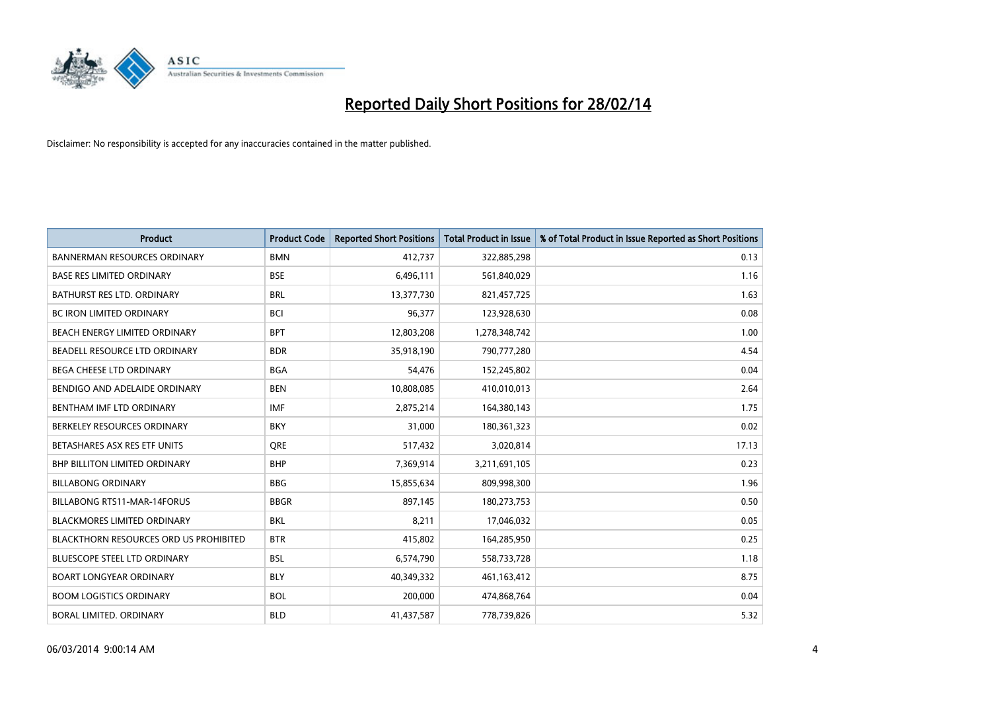

| <b>Product</b>                         | <b>Product Code</b> | <b>Reported Short Positions</b> | <b>Total Product in Issue</b> | % of Total Product in Issue Reported as Short Positions |
|----------------------------------------|---------------------|---------------------------------|-------------------------------|---------------------------------------------------------|
| <b>BANNERMAN RESOURCES ORDINARY</b>    | <b>BMN</b>          | 412,737                         | 322,885,298                   | 0.13                                                    |
| BASE RES LIMITED ORDINARY              | <b>BSE</b>          | 6,496,111                       | 561,840,029                   | 1.16                                                    |
| BATHURST RES LTD. ORDINARY             | <b>BRL</b>          | 13,377,730                      | 821,457,725                   | 1.63                                                    |
| <b>BC IRON LIMITED ORDINARY</b>        | <b>BCI</b>          | 96,377                          | 123,928,630                   | 0.08                                                    |
| BEACH ENERGY LIMITED ORDINARY          | <b>BPT</b>          | 12,803,208                      | 1,278,348,742                 | 1.00                                                    |
| BEADELL RESOURCE LTD ORDINARY          | <b>BDR</b>          | 35,918,190                      | 790,777,280                   | 4.54                                                    |
| <b>BEGA CHEESE LTD ORDINARY</b>        | <b>BGA</b>          | 54,476                          | 152,245,802                   | 0.04                                                    |
| BENDIGO AND ADELAIDE ORDINARY          | <b>BEN</b>          | 10,808,085                      | 410,010,013                   | 2.64                                                    |
| BENTHAM IMF LTD ORDINARY               | <b>IMF</b>          | 2,875,214                       | 164,380,143                   | 1.75                                                    |
| BERKELEY RESOURCES ORDINARY            | <b>BKY</b>          | 31,000                          | 180,361,323                   | 0.02                                                    |
| BETASHARES ASX RES ETF UNITS           | <b>ORE</b>          | 517,432                         | 3,020,814                     | 17.13                                                   |
| BHP BILLITON LIMITED ORDINARY          | <b>BHP</b>          | 7,369,914                       | 3,211,691,105                 | 0.23                                                    |
| <b>BILLABONG ORDINARY</b>              | <b>BBG</b>          | 15,855,634                      | 809,998,300                   | 1.96                                                    |
| <b>BILLABONG RTS11-MAR-14FORUS</b>     | <b>BBGR</b>         | 897,145                         | 180,273,753                   | 0.50                                                    |
| <b>BLACKMORES LIMITED ORDINARY</b>     | <b>BKL</b>          | 8,211                           | 17,046,032                    | 0.05                                                    |
| BLACKTHORN RESOURCES ORD US PROHIBITED | <b>BTR</b>          | 415,802                         | 164,285,950                   | 0.25                                                    |
| BLUESCOPE STEEL LTD ORDINARY           | <b>BSL</b>          | 6,574,790                       | 558,733,728                   | 1.18                                                    |
| <b>BOART LONGYEAR ORDINARY</b>         | <b>BLY</b>          | 40,349,332                      | 461,163,412                   | 8.75                                                    |
| <b>BOOM LOGISTICS ORDINARY</b>         | <b>BOL</b>          | 200,000                         | 474,868,764                   | 0.04                                                    |
| BORAL LIMITED. ORDINARY                | <b>BLD</b>          | 41,437,587                      | 778,739,826                   | 5.32                                                    |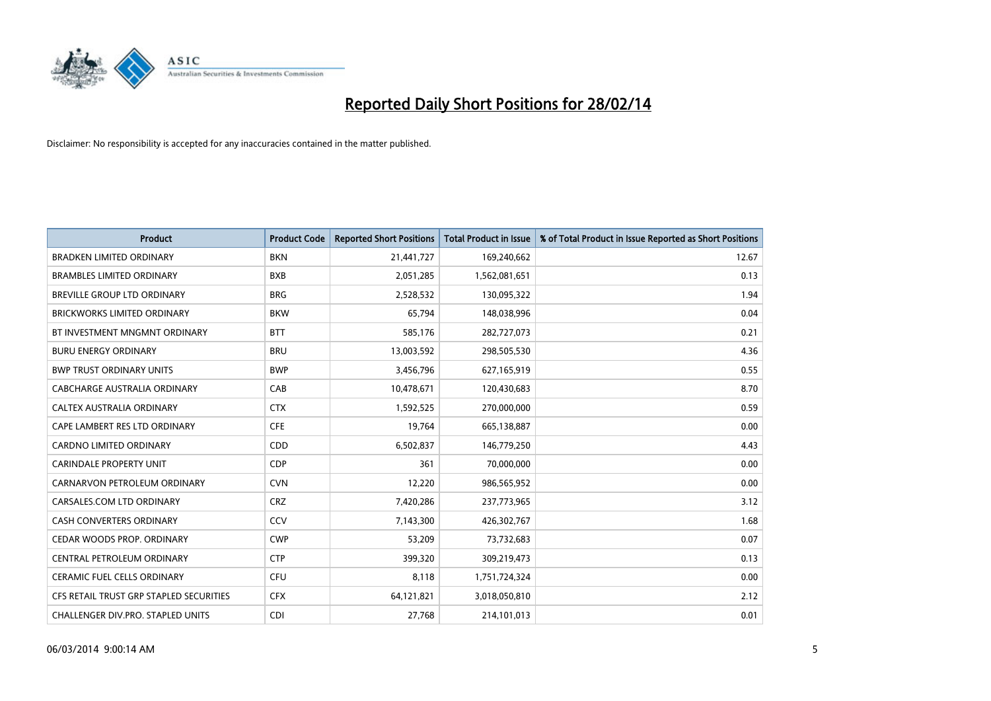

| <b>Product</b>                          | <b>Product Code</b> | <b>Reported Short Positions</b> | <b>Total Product in Issue</b> | % of Total Product in Issue Reported as Short Positions |
|-----------------------------------------|---------------------|---------------------------------|-------------------------------|---------------------------------------------------------|
| <b>BRADKEN LIMITED ORDINARY</b>         | <b>BKN</b>          | 21,441,727                      | 169,240,662                   | 12.67                                                   |
| <b>BRAMBLES LIMITED ORDINARY</b>        | <b>BXB</b>          | 2,051,285                       | 1,562,081,651                 | 0.13                                                    |
| <b>BREVILLE GROUP LTD ORDINARY</b>      | <b>BRG</b>          | 2,528,532                       | 130,095,322                   | 1.94                                                    |
| <b>BRICKWORKS LIMITED ORDINARY</b>      | <b>BKW</b>          | 65,794                          | 148,038,996                   | 0.04                                                    |
| BT INVESTMENT MNGMNT ORDINARY           | <b>BTT</b>          | 585,176                         | 282,727,073                   | 0.21                                                    |
| <b>BURU ENERGY ORDINARY</b>             | <b>BRU</b>          | 13,003,592                      | 298,505,530                   | 4.36                                                    |
| <b>BWP TRUST ORDINARY UNITS</b>         | <b>BWP</b>          | 3,456,796                       | 627,165,919                   | 0.55                                                    |
| CABCHARGE AUSTRALIA ORDINARY            | CAB                 | 10,478,671                      | 120,430,683                   | 8.70                                                    |
| CALTEX AUSTRALIA ORDINARY               | <b>CTX</b>          | 1,592,525                       | 270,000,000                   | 0.59                                                    |
| CAPE LAMBERT RES LTD ORDINARY           | <b>CFE</b>          | 19,764                          | 665,138,887                   | 0.00                                                    |
| CARDNO LIMITED ORDINARY                 | CDD                 | 6,502,837                       | 146,779,250                   | 4.43                                                    |
| <b>CARINDALE PROPERTY UNIT</b>          | <b>CDP</b>          | 361                             | 70,000,000                    | 0.00                                                    |
| CARNARVON PETROLEUM ORDINARY            | <b>CVN</b>          | 12,220                          | 986,565,952                   | 0.00                                                    |
| CARSALES.COM LTD ORDINARY               | <b>CRZ</b>          | 7,420,286                       | 237,773,965                   | 3.12                                                    |
| <b>CASH CONVERTERS ORDINARY</b>         | CCV                 | 7,143,300                       | 426,302,767                   | 1.68                                                    |
| CEDAR WOODS PROP. ORDINARY              | <b>CWP</b>          | 53,209                          | 73,732,683                    | 0.07                                                    |
| CENTRAL PETROLEUM ORDINARY              | <b>CTP</b>          | 399,320                         | 309,219,473                   | 0.13                                                    |
| <b>CERAMIC FUEL CELLS ORDINARY</b>      | <b>CFU</b>          | 8,118                           | 1,751,724,324                 | 0.00                                                    |
| CFS RETAIL TRUST GRP STAPLED SECURITIES | <b>CFX</b>          | 64,121,821                      | 3,018,050,810                 | 2.12                                                    |
| CHALLENGER DIV.PRO. STAPLED UNITS       | <b>CDI</b>          | 27,768                          | 214,101,013                   | 0.01                                                    |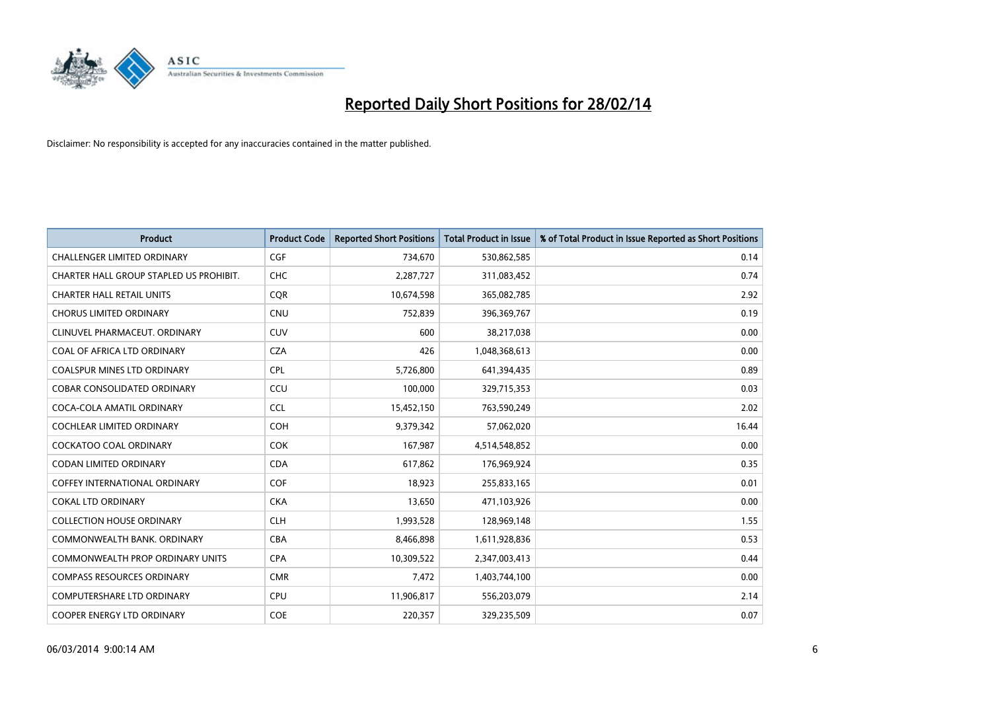

| <b>Product</b>                          | <b>Product Code</b> | <b>Reported Short Positions</b> | <b>Total Product in Issue</b> | % of Total Product in Issue Reported as Short Positions |
|-----------------------------------------|---------------------|---------------------------------|-------------------------------|---------------------------------------------------------|
| <b>CHALLENGER LIMITED ORDINARY</b>      | <b>CGF</b>          | 734,670                         | 530,862,585                   | 0.14                                                    |
| CHARTER HALL GROUP STAPLED US PROHIBIT. | <b>CHC</b>          | 2,287,727                       | 311,083,452                   | 0.74                                                    |
| <b>CHARTER HALL RETAIL UNITS</b>        | <b>CQR</b>          | 10,674,598                      | 365,082,785                   | 2.92                                                    |
| <b>CHORUS LIMITED ORDINARY</b>          | <b>CNU</b>          | 752,839                         | 396,369,767                   | 0.19                                                    |
| CLINUVEL PHARMACEUT, ORDINARY           | <b>CUV</b>          | 600                             | 38,217,038                    | 0.00                                                    |
| COAL OF AFRICA LTD ORDINARY             | <b>CZA</b>          | 426                             | 1,048,368,613                 | 0.00                                                    |
| <b>COALSPUR MINES LTD ORDINARY</b>      | <b>CPL</b>          | 5,726,800                       | 641,394,435                   | 0.89                                                    |
| COBAR CONSOLIDATED ORDINARY             | CCU                 | 100,000                         | 329,715,353                   | 0.03                                                    |
| COCA-COLA AMATIL ORDINARY               | <b>CCL</b>          | 15,452,150                      | 763,590,249                   | 2.02                                                    |
| <b>COCHLEAR LIMITED ORDINARY</b>        | <b>COH</b>          | 9,379,342                       | 57,062,020                    | 16.44                                                   |
| COCKATOO COAL ORDINARY                  | COK                 | 167,987                         | 4,514,548,852                 | 0.00                                                    |
| <b>CODAN LIMITED ORDINARY</b>           | <b>CDA</b>          | 617,862                         | 176,969,924                   | 0.35                                                    |
| <b>COFFEY INTERNATIONAL ORDINARY</b>    | <b>COF</b>          | 18,923                          | 255,833,165                   | 0.01                                                    |
| <b>COKAL LTD ORDINARY</b>               | <b>CKA</b>          | 13,650                          | 471,103,926                   | 0.00                                                    |
| <b>COLLECTION HOUSE ORDINARY</b>        | <b>CLH</b>          | 1,993,528                       | 128,969,148                   | 1.55                                                    |
| COMMONWEALTH BANK, ORDINARY             | <b>CBA</b>          | 8,466,898                       | 1,611,928,836                 | 0.53                                                    |
| COMMONWEALTH PROP ORDINARY UNITS        | <b>CPA</b>          | 10,309,522                      | 2,347,003,413                 | 0.44                                                    |
| <b>COMPASS RESOURCES ORDINARY</b>       | <b>CMR</b>          | 7,472                           | 1,403,744,100                 | 0.00                                                    |
| <b>COMPUTERSHARE LTD ORDINARY</b>       | <b>CPU</b>          | 11,906,817                      | 556,203,079                   | 2.14                                                    |
| COOPER ENERGY LTD ORDINARY              | <b>COE</b>          | 220,357                         | 329,235,509                   | 0.07                                                    |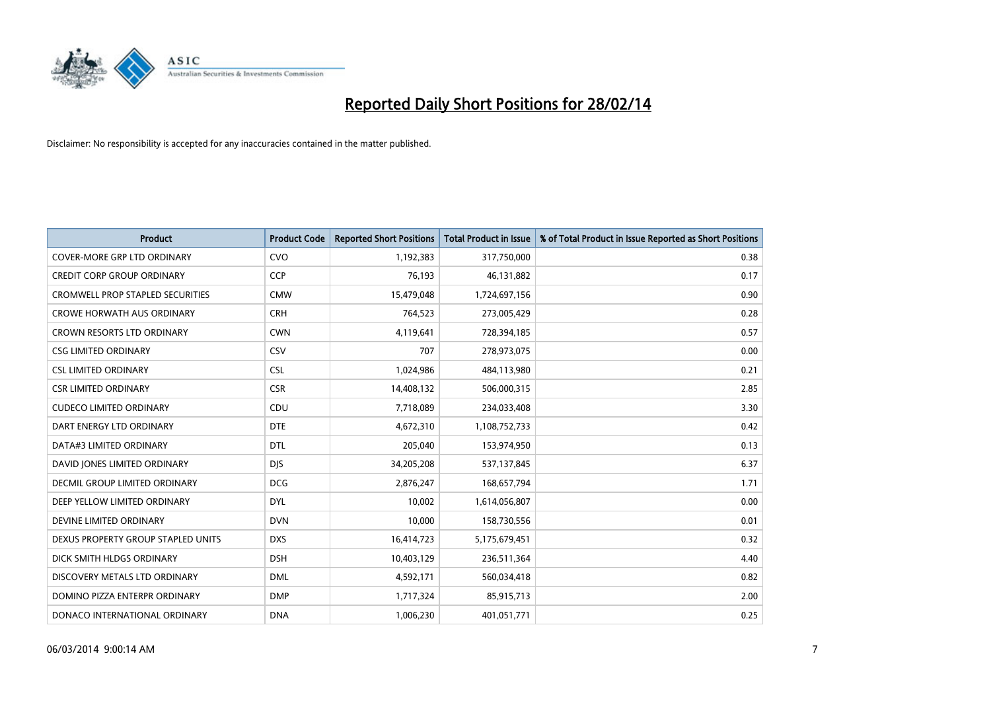

| <b>Product</b>                          | <b>Product Code</b> | <b>Reported Short Positions</b> | <b>Total Product in Issue</b> | % of Total Product in Issue Reported as Short Positions |
|-----------------------------------------|---------------------|---------------------------------|-------------------------------|---------------------------------------------------------|
| <b>COVER-MORE GRP LTD ORDINARY</b>      | <b>CVO</b>          | 1,192,383                       | 317,750,000                   | 0.38                                                    |
| <b>CREDIT CORP GROUP ORDINARY</b>       | <b>CCP</b>          | 76,193                          | 46,131,882                    | 0.17                                                    |
| <b>CROMWELL PROP STAPLED SECURITIES</b> | <b>CMW</b>          | 15,479,048                      | 1,724,697,156                 | 0.90                                                    |
| <b>CROWE HORWATH AUS ORDINARY</b>       | <b>CRH</b>          | 764,523                         | 273,005,429                   | 0.28                                                    |
| <b>CROWN RESORTS LTD ORDINARY</b>       | <b>CWN</b>          | 4,119,641                       | 728,394,185                   | 0.57                                                    |
| <b>CSG LIMITED ORDINARY</b>             | CSV                 | 707                             | 278,973,075                   | 0.00                                                    |
| <b>CSL LIMITED ORDINARY</b>             | <b>CSL</b>          | 1,024,986                       | 484,113,980                   | 0.21                                                    |
| <b>CSR LIMITED ORDINARY</b>             | <b>CSR</b>          | 14,408,132                      | 506,000,315                   | 2.85                                                    |
| <b>CUDECO LIMITED ORDINARY</b>          | CDU                 | 7,718,089                       | 234,033,408                   | 3.30                                                    |
| DART ENERGY LTD ORDINARY                | <b>DTE</b>          | 4,672,310                       | 1,108,752,733                 | 0.42                                                    |
| DATA#3 LIMITED ORDINARY                 | <b>DTL</b>          | 205,040                         | 153,974,950                   | 0.13                                                    |
| DAVID JONES LIMITED ORDINARY            | <b>DJS</b>          | 34,205,208                      | 537,137,845                   | 6.37                                                    |
| <b>DECMIL GROUP LIMITED ORDINARY</b>    | <b>DCG</b>          | 2,876,247                       | 168,657,794                   | 1.71                                                    |
| DEEP YELLOW LIMITED ORDINARY            | <b>DYL</b>          | 10,002                          | 1,614,056,807                 | 0.00                                                    |
| DEVINE LIMITED ORDINARY                 | <b>DVN</b>          | 10,000                          | 158,730,556                   | 0.01                                                    |
| DEXUS PROPERTY GROUP STAPLED UNITS      | <b>DXS</b>          | 16,414,723                      | 5,175,679,451                 | 0.32                                                    |
| DICK SMITH HLDGS ORDINARY               | <b>DSH</b>          | 10,403,129                      | 236,511,364                   | 4.40                                                    |
| DISCOVERY METALS LTD ORDINARY           | <b>DML</b>          | 4,592,171                       | 560,034,418                   | 0.82                                                    |
| DOMINO PIZZA ENTERPR ORDINARY           | <b>DMP</b>          | 1,717,324                       | 85,915,713                    | 2.00                                                    |
| DONACO INTERNATIONAL ORDINARY           | <b>DNA</b>          | 1,006,230                       | 401,051,771                   | 0.25                                                    |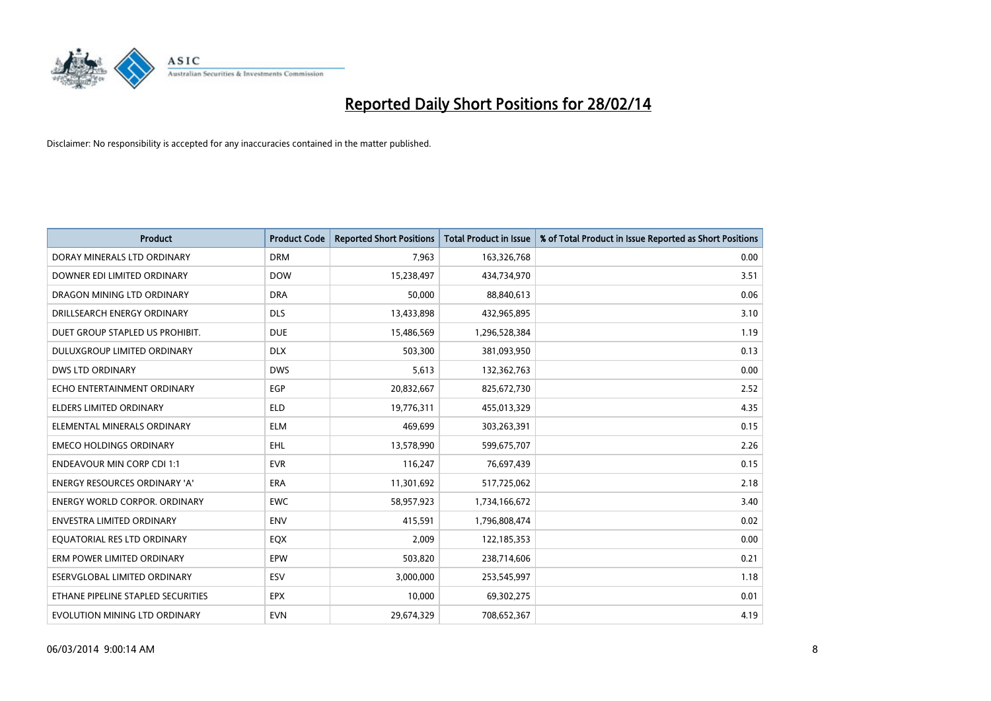

| <b>Product</b>                       | <b>Product Code</b> | <b>Reported Short Positions</b> | <b>Total Product in Issue</b> | % of Total Product in Issue Reported as Short Positions |
|--------------------------------------|---------------------|---------------------------------|-------------------------------|---------------------------------------------------------|
| DORAY MINERALS LTD ORDINARY          | <b>DRM</b>          | 7,963                           | 163,326,768                   | 0.00                                                    |
| DOWNER EDI LIMITED ORDINARY          | <b>DOW</b>          | 15,238,497                      | 434,734,970                   | 3.51                                                    |
| DRAGON MINING LTD ORDINARY           | <b>DRA</b>          | 50,000                          | 88,840,613                    | 0.06                                                    |
| DRILLSEARCH ENERGY ORDINARY          | <b>DLS</b>          | 13,433,898                      | 432,965,895                   | 3.10                                                    |
| DUET GROUP STAPLED US PROHIBIT.      | <b>DUE</b>          | 15,486,569                      | 1,296,528,384                 | 1.19                                                    |
| DULUXGROUP LIMITED ORDINARY          | <b>DLX</b>          | 503,300                         | 381,093,950                   | 0.13                                                    |
| <b>DWS LTD ORDINARY</b>              | <b>DWS</b>          | 5,613                           | 132,362,763                   | 0.00                                                    |
| ECHO ENTERTAINMENT ORDINARY          | <b>EGP</b>          | 20,832,667                      | 825,672,730                   | 2.52                                                    |
| <b>ELDERS LIMITED ORDINARY</b>       | <b>ELD</b>          | 19,776,311                      | 455,013,329                   | 4.35                                                    |
| ELEMENTAL MINERALS ORDINARY          | <b>ELM</b>          | 469,699                         | 303,263,391                   | 0.15                                                    |
| <b>EMECO HOLDINGS ORDINARY</b>       | <b>EHL</b>          | 13,578,990                      | 599,675,707                   | 2.26                                                    |
| <b>ENDEAVOUR MIN CORP CDI 1:1</b>    | <b>EVR</b>          | 116,247                         | 76,697,439                    | 0.15                                                    |
| ENERGY RESOURCES ORDINARY 'A'        | <b>ERA</b>          | 11,301,692                      | 517,725,062                   | 2.18                                                    |
| <b>ENERGY WORLD CORPOR, ORDINARY</b> | <b>EWC</b>          | 58,957,923                      | 1,734,166,672                 | 3.40                                                    |
| <b>ENVESTRA LIMITED ORDINARY</b>     | <b>ENV</b>          | 415,591                         | 1,796,808,474                 | 0.02                                                    |
| EQUATORIAL RES LTD ORDINARY          | EQX                 | 2,009                           | 122,185,353                   | 0.00                                                    |
| ERM POWER LIMITED ORDINARY           | EPW                 | 503,820                         | 238,714,606                   | 0.21                                                    |
| ESERVGLOBAL LIMITED ORDINARY         | ESV                 | 3,000,000                       | 253,545,997                   | 1.18                                                    |
| ETHANE PIPELINE STAPLED SECURITIES   | <b>EPX</b>          | 10,000                          | 69,302,275                    | 0.01                                                    |
| EVOLUTION MINING LTD ORDINARY        | <b>EVN</b>          | 29,674,329                      | 708,652,367                   | 4.19                                                    |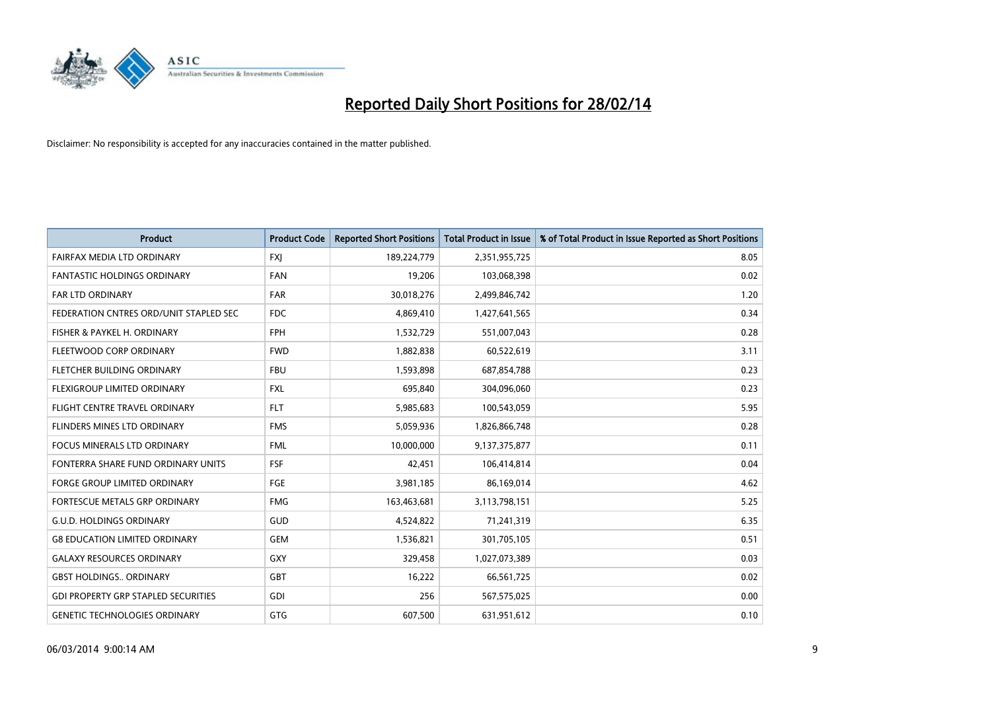

| <b>Product</b>                             | <b>Product Code</b> | <b>Reported Short Positions</b> | <b>Total Product in Issue</b> | % of Total Product in Issue Reported as Short Positions |
|--------------------------------------------|---------------------|---------------------------------|-------------------------------|---------------------------------------------------------|
| FAIRFAX MEDIA LTD ORDINARY                 | <b>FXJ</b>          | 189,224,779                     | 2,351,955,725                 | 8.05                                                    |
| <b>FANTASTIC HOLDINGS ORDINARY</b>         | FAN                 | 19,206                          | 103,068,398                   | 0.02                                                    |
| <b>FAR LTD ORDINARY</b>                    | <b>FAR</b>          | 30,018,276                      | 2,499,846,742                 | 1.20                                                    |
| FEDERATION CNTRES ORD/UNIT STAPLED SEC     | FDC                 | 4,869,410                       | 1,427,641,565                 | 0.34                                                    |
| FISHER & PAYKEL H. ORDINARY                | <b>FPH</b>          | 1,532,729                       | 551,007,043                   | 0.28                                                    |
| FLEETWOOD CORP ORDINARY                    | <b>FWD</b>          | 1,882,838                       | 60,522,619                    | 3.11                                                    |
| FLETCHER BUILDING ORDINARY                 | <b>FBU</b>          | 1,593,898                       | 687,854,788                   | 0.23                                                    |
| FLEXIGROUP LIMITED ORDINARY                | <b>FXL</b>          | 695,840                         | 304,096,060                   | 0.23                                                    |
| FLIGHT CENTRE TRAVEL ORDINARY              | <b>FLT</b>          | 5,985,683                       | 100,543,059                   | 5.95                                                    |
| FLINDERS MINES LTD ORDINARY                | <b>FMS</b>          | 5,059,936                       | 1,826,866,748                 | 0.28                                                    |
| FOCUS MINERALS LTD ORDINARY                | <b>FML</b>          | 10,000,000                      | 9,137,375,877                 | 0.11                                                    |
| FONTERRA SHARE FUND ORDINARY UNITS         | <b>FSF</b>          | 42,451                          | 106,414,814                   | 0.04                                                    |
| FORGE GROUP LIMITED ORDINARY               | FGE                 | 3,981,185                       | 86,169,014                    | 4.62                                                    |
| <b>FORTESCUE METALS GRP ORDINARY</b>       | <b>FMG</b>          | 163,463,681                     | 3,113,798,151                 | 5.25                                                    |
| <b>G.U.D. HOLDINGS ORDINARY</b>            | GUD                 | 4,524,822                       | 71,241,319                    | 6.35                                                    |
| <b>G8 EDUCATION LIMITED ORDINARY</b>       | <b>GEM</b>          | 1,536,821                       | 301,705,105                   | 0.51                                                    |
| <b>GALAXY RESOURCES ORDINARY</b>           | GXY                 | 329,458                         | 1,027,073,389                 | 0.03                                                    |
| <b>GBST HOLDINGS ORDINARY</b>              | GBT                 | 16,222                          | 66,561,725                    | 0.02                                                    |
| <b>GDI PROPERTY GRP STAPLED SECURITIES</b> | GDI                 | 256                             | 567,575,025                   | 0.00                                                    |
| <b>GENETIC TECHNOLOGIES ORDINARY</b>       | <b>GTG</b>          | 607,500                         | 631,951,612                   | 0.10                                                    |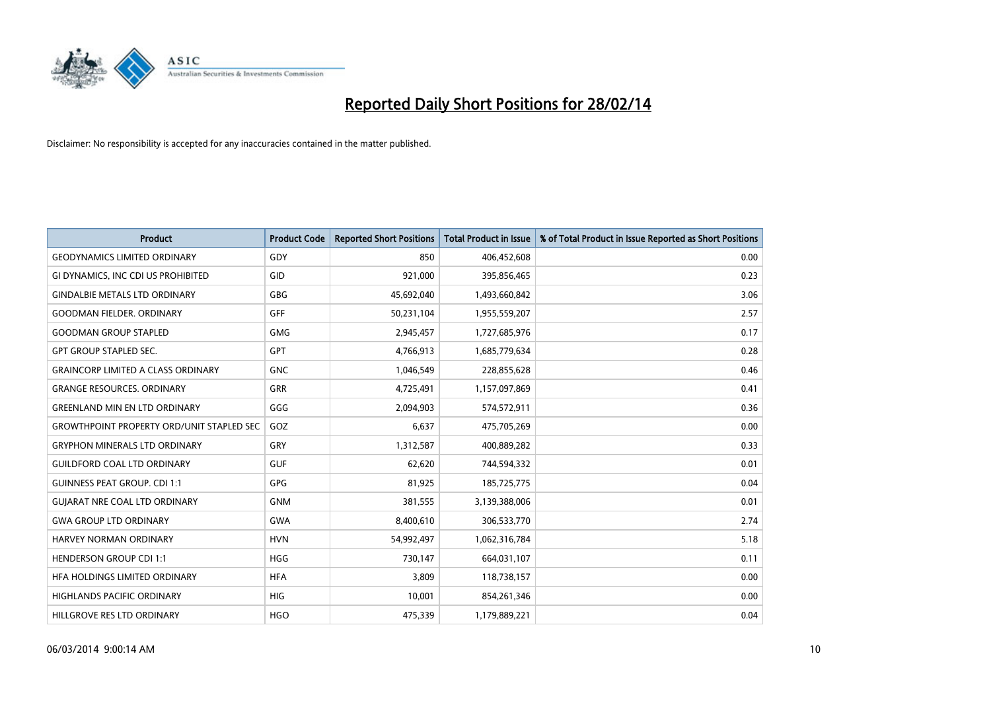

| <b>Product</b>                                   | <b>Product Code</b> | <b>Reported Short Positions</b> | <b>Total Product in Issue</b> | % of Total Product in Issue Reported as Short Positions |
|--------------------------------------------------|---------------------|---------------------------------|-------------------------------|---------------------------------------------------------|
| <b>GEODYNAMICS LIMITED ORDINARY</b>              | GDY                 | 850                             | 406,452,608                   | 0.00                                                    |
| GI DYNAMICS, INC CDI US PROHIBITED               | GID                 | 921,000                         | 395,856,465                   | 0.23                                                    |
| <b>GINDALBIE METALS LTD ORDINARY</b>             | GBG                 | 45,692,040                      | 1,493,660,842                 | 3.06                                                    |
| <b>GOODMAN FIELDER. ORDINARY</b>                 | <b>GFF</b>          | 50,231,104                      | 1,955,559,207                 | 2.57                                                    |
| <b>GOODMAN GROUP STAPLED</b>                     | <b>GMG</b>          | 2,945,457                       | 1,727,685,976                 | 0.17                                                    |
| <b>GPT GROUP STAPLED SEC.</b>                    | <b>GPT</b>          | 4,766,913                       | 1,685,779,634                 | 0.28                                                    |
| <b>GRAINCORP LIMITED A CLASS ORDINARY</b>        | <b>GNC</b>          | 1,046,549                       | 228,855,628                   | 0.46                                                    |
| <b>GRANGE RESOURCES. ORDINARY</b>                | GRR                 | 4,725,491                       | 1,157,097,869                 | 0.41                                                    |
| <b>GREENLAND MIN EN LTD ORDINARY</b>             | GGG                 | 2,094,903                       | 574,572,911                   | 0.36                                                    |
| <b>GROWTHPOINT PROPERTY ORD/UNIT STAPLED SEC</b> | GOZ                 | 6,637                           | 475,705,269                   | 0.00                                                    |
| <b>GRYPHON MINERALS LTD ORDINARY</b>             | GRY                 | 1,312,587                       | 400,889,282                   | 0.33                                                    |
| <b>GUILDFORD COAL LTD ORDINARY</b>               | <b>GUF</b>          | 62,620                          | 744,594,332                   | 0.01                                                    |
| <b>GUINNESS PEAT GROUP. CDI 1:1</b>              | <b>GPG</b>          | 81,925                          | 185,725,775                   | 0.04                                                    |
| <b>GUIARAT NRE COAL LTD ORDINARY</b>             | <b>GNM</b>          | 381,555                         | 3,139,388,006                 | 0.01                                                    |
| <b>GWA GROUP LTD ORDINARY</b>                    | <b>GWA</b>          | 8,400,610                       | 306,533,770                   | 2.74                                                    |
| <b>HARVEY NORMAN ORDINARY</b>                    | <b>HVN</b>          | 54,992,497                      | 1,062,316,784                 | 5.18                                                    |
| <b>HENDERSON GROUP CDI 1:1</b>                   | <b>HGG</b>          | 730,147                         | 664,031,107                   | 0.11                                                    |
| HFA HOLDINGS LIMITED ORDINARY                    | <b>HFA</b>          | 3,809                           | 118,738,157                   | 0.00                                                    |
| <b>HIGHLANDS PACIFIC ORDINARY</b>                | <b>HIG</b>          | 10,001                          | 854,261,346                   | 0.00                                                    |
| HILLGROVE RES LTD ORDINARY                       | <b>HGO</b>          | 475,339                         | 1,179,889,221                 | 0.04                                                    |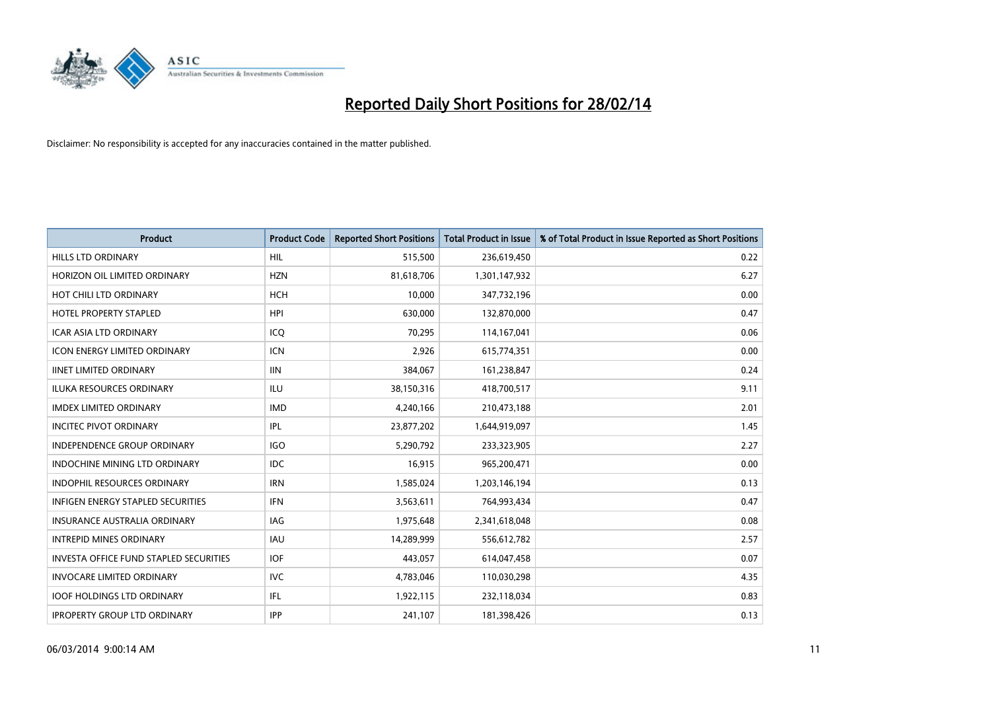

| <b>Product</b>                                | <b>Product Code</b> | <b>Reported Short Positions</b> | <b>Total Product in Issue</b> | % of Total Product in Issue Reported as Short Positions |
|-----------------------------------------------|---------------------|---------------------------------|-------------------------------|---------------------------------------------------------|
| <b>HILLS LTD ORDINARY</b>                     | HIL                 | 515,500                         | 236,619,450                   | 0.22                                                    |
| HORIZON OIL LIMITED ORDINARY                  | <b>HZN</b>          | 81,618,706                      | 1,301,147,932                 | 6.27                                                    |
| HOT CHILI LTD ORDINARY                        | <b>HCH</b>          | 10,000                          | 347,732,196                   | 0.00                                                    |
| <b>HOTEL PROPERTY STAPLED</b>                 | <b>HPI</b>          | 630,000                         | 132,870,000                   | 0.47                                                    |
| <b>ICAR ASIA LTD ORDINARY</b>                 | ICO                 | 70,295                          | 114,167,041                   | 0.06                                                    |
| <b>ICON ENERGY LIMITED ORDINARY</b>           | <b>ICN</b>          | 2,926                           | 615,774,351                   | 0.00                                                    |
| <b>IINET LIMITED ORDINARY</b>                 | <b>IIN</b>          | 384,067                         | 161,238,847                   | 0.24                                                    |
| <b>ILUKA RESOURCES ORDINARY</b>               | ILU                 | 38,150,316                      | 418,700,517                   | 9.11                                                    |
| <b>IMDEX LIMITED ORDINARY</b>                 | <b>IMD</b>          | 4,240,166                       | 210,473,188                   | 2.01                                                    |
| <b>INCITEC PIVOT ORDINARY</b>                 | IPL                 | 23,877,202                      | 1,644,919,097                 | 1.45                                                    |
| INDEPENDENCE GROUP ORDINARY                   | <b>IGO</b>          | 5,290,792                       | 233,323,905                   | 2.27                                                    |
| <b>INDOCHINE MINING LTD ORDINARY</b>          | IDC.                | 16,915                          | 965,200,471                   | 0.00                                                    |
| <b>INDOPHIL RESOURCES ORDINARY</b>            | <b>IRN</b>          | 1,585,024                       | 1,203,146,194                 | 0.13                                                    |
| <b>INFIGEN ENERGY STAPLED SECURITIES</b>      | <b>IFN</b>          | 3,563,611                       | 764,993,434                   | 0.47                                                    |
| <b>INSURANCE AUSTRALIA ORDINARY</b>           | IAG                 | 1,975,648                       | 2,341,618,048                 | 0.08                                                    |
| <b>INTREPID MINES ORDINARY</b>                | <b>IAU</b>          | 14,289,999                      | 556,612,782                   | 2.57                                                    |
| <b>INVESTA OFFICE FUND STAPLED SECURITIES</b> | <b>IOF</b>          | 443,057                         | 614,047,458                   | 0.07                                                    |
| <b>INVOCARE LIMITED ORDINARY</b>              | <b>IVC</b>          | 4,783,046                       | 110,030,298                   | 4.35                                                    |
| <b>IOOF HOLDINGS LTD ORDINARY</b>             | IFL                 | 1,922,115                       | 232,118,034                   | 0.83                                                    |
| <b>IPROPERTY GROUP LTD ORDINARY</b>           | <b>IPP</b>          | 241,107                         | 181,398,426                   | 0.13                                                    |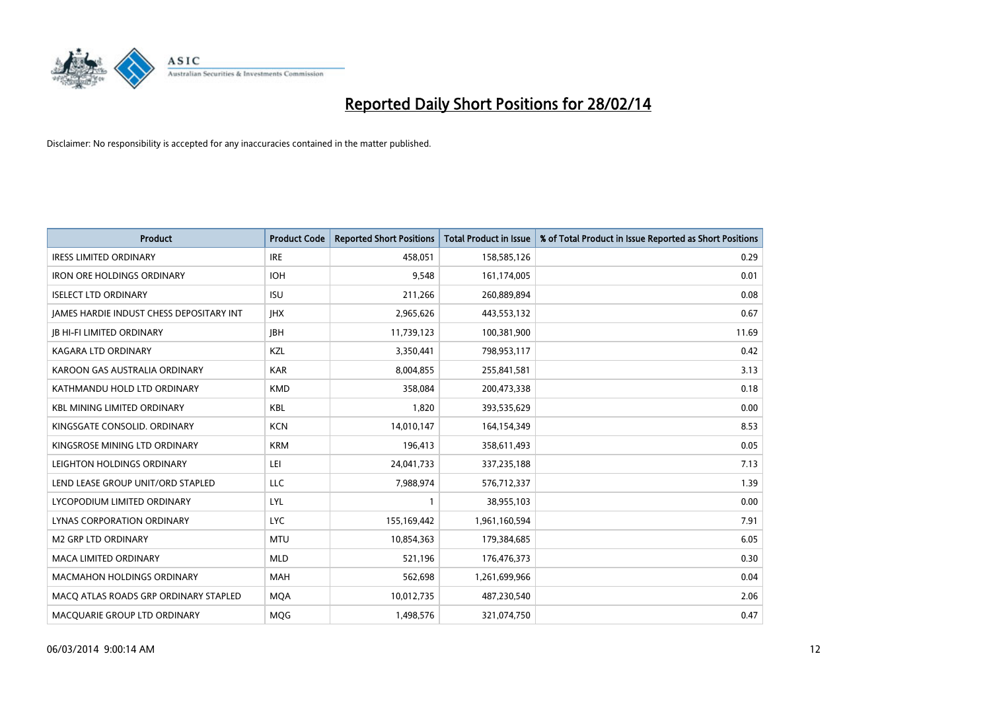

| <b>Product</b>                           | <b>Product Code</b> | <b>Reported Short Positions</b> | <b>Total Product in Issue</b> | % of Total Product in Issue Reported as Short Positions |
|------------------------------------------|---------------------|---------------------------------|-------------------------------|---------------------------------------------------------|
| <b>IRESS LIMITED ORDINARY</b>            | <b>IRE</b>          | 458.051                         | 158,585,126                   | 0.29                                                    |
| <b>IRON ORE HOLDINGS ORDINARY</b>        | <b>IOH</b>          | 9,548                           | 161,174,005                   | 0.01                                                    |
| <b>ISELECT LTD ORDINARY</b>              | <b>ISU</b>          | 211,266                         | 260,889,894                   | 0.08                                                    |
| JAMES HARDIE INDUST CHESS DEPOSITARY INT | <b>IHX</b>          | 2,965,626                       | 443,553,132                   | 0.67                                                    |
| <b>JB HI-FI LIMITED ORDINARY</b>         | <b>JBH</b>          | 11,739,123                      | 100,381,900                   | 11.69                                                   |
| <b>KAGARA LTD ORDINARY</b>               | KZL                 | 3,350,441                       | 798,953,117                   | 0.42                                                    |
| KAROON GAS AUSTRALIA ORDINARY            | <b>KAR</b>          | 8,004,855                       | 255,841,581                   | 3.13                                                    |
| KATHMANDU HOLD LTD ORDINARY              | <b>KMD</b>          | 358,084                         | 200,473,338                   | 0.18                                                    |
| <b>KBL MINING LIMITED ORDINARY</b>       | <b>KBL</b>          | 1,820                           | 393,535,629                   | 0.00                                                    |
| KINGSGATE CONSOLID. ORDINARY             | <b>KCN</b>          | 14,010,147                      | 164,154,349                   | 8.53                                                    |
| KINGSROSE MINING LTD ORDINARY            | <b>KRM</b>          | 196,413                         | 358,611,493                   | 0.05                                                    |
| LEIGHTON HOLDINGS ORDINARY               | LEI                 | 24,041,733                      | 337,235,188                   | 7.13                                                    |
| LEND LEASE GROUP UNIT/ORD STAPLED        | LLC                 | 7,988,974                       | 576,712,337                   | 1.39                                                    |
| LYCOPODIUM LIMITED ORDINARY              | LYL                 | 1                               | 38,955,103                    | 0.00                                                    |
| LYNAS CORPORATION ORDINARY               | <b>LYC</b>          | 155,169,442                     | 1,961,160,594                 | 7.91                                                    |
| M2 GRP LTD ORDINARY                      | <b>MTU</b>          | 10,854,363                      | 179,384,685                   | 6.05                                                    |
| MACA LIMITED ORDINARY                    | <b>MLD</b>          | 521,196                         | 176,476,373                   | 0.30                                                    |
| MACMAHON HOLDINGS ORDINARY               | <b>MAH</b>          | 562,698                         | 1,261,699,966                 | 0.04                                                    |
| MACO ATLAS ROADS GRP ORDINARY STAPLED    | <b>MOA</b>          | 10,012,735                      | 487,230,540                   | 2.06                                                    |
| MACQUARIE GROUP LTD ORDINARY             | <b>MOG</b>          | 1,498,576                       | 321,074,750                   | 0.47                                                    |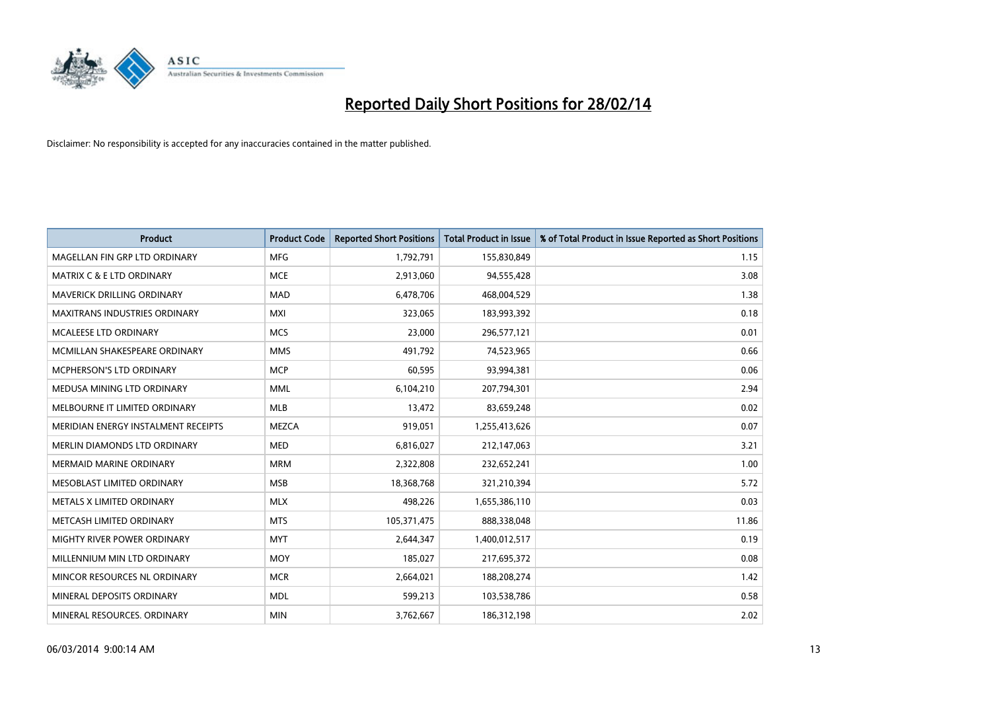

| <b>Product</b>                       | <b>Product Code</b> | <b>Reported Short Positions</b> | <b>Total Product in Issue</b> | % of Total Product in Issue Reported as Short Positions |
|--------------------------------------|---------------------|---------------------------------|-------------------------------|---------------------------------------------------------|
| MAGELLAN FIN GRP LTD ORDINARY        | <b>MFG</b>          | 1,792,791                       | 155,830,849                   | 1.15                                                    |
| <b>MATRIX C &amp; E LTD ORDINARY</b> | <b>MCE</b>          | 2,913,060                       | 94,555,428                    | 3.08                                                    |
| <b>MAVERICK DRILLING ORDINARY</b>    | <b>MAD</b>          | 6,478,706                       | 468,004,529                   | 1.38                                                    |
| <b>MAXITRANS INDUSTRIES ORDINARY</b> | <b>MXI</b>          | 323,065                         | 183,993,392                   | 0.18                                                    |
| <b>MCALEESE LTD ORDINARY</b>         | <b>MCS</b>          | 23,000                          | 296,577,121                   | 0.01                                                    |
| MCMILLAN SHAKESPEARE ORDINARY        | <b>MMS</b>          | 491,792                         | 74,523,965                    | 0.66                                                    |
| <b>MCPHERSON'S LTD ORDINARY</b>      | <b>MCP</b>          | 60,595                          | 93,994,381                    | 0.06                                                    |
| MEDUSA MINING LTD ORDINARY           | <b>MML</b>          | 6,104,210                       | 207,794,301                   | 2.94                                                    |
| MELBOURNE IT LIMITED ORDINARY        | <b>MLB</b>          | 13,472                          | 83,659,248                    | 0.02                                                    |
| MERIDIAN ENERGY INSTALMENT RECEIPTS  | <b>MEZCA</b>        | 919,051                         | 1,255,413,626                 | 0.07                                                    |
| MERLIN DIAMONDS LTD ORDINARY         | <b>MED</b>          | 6,816,027                       | 212,147,063                   | 3.21                                                    |
| <b>MERMAID MARINE ORDINARY</b>       | <b>MRM</b>          | 2,322,808                       | 232,652,241                   | 1.00                                                    |
| MESOBLAST LIMITED ORDINARY           | <b>MSB</b>          | 18,368,768                      | 321,210,394                   | 5.72                                                    |
| METALS X LIMITED ORDINARY            | <b>MLX</b>          | 498,226                         | 1,655,386,110                 | 0.03                                                    |
| METCASH LIMITED ORDINARY             | <b>MTS</b>          | 105,371,475                     | 888,338,048                   | 11.86                                                   |
| MIGHTY RIVER POWER ORDINARY          | <b>MYT</b>          | 2,644,347                       | 1,400,012,517                 | 0.19                                                    |
| MILLENNIUM MIN LTD ORDINARY          | <b>MOY</b>          | 185,027                         | 217,695,372                   | 0.08                                                    |
| MINCOR RESOURCES NL ORDINARY         | <b>MCR</b>          | 2,664,021                       | 188,208,274                   | 1.42                                                    |
| MINERAL DEPOSITS ORDINARY            | <b>MDL</b>          | 599,213                         | 103,538,786                   | 0.58                                                    |
| MINERAL RESOURCES. ORDINARY          | <b>MIN</b>          | 3,762,667                       | 186,312,198                   | 2.02                                                    |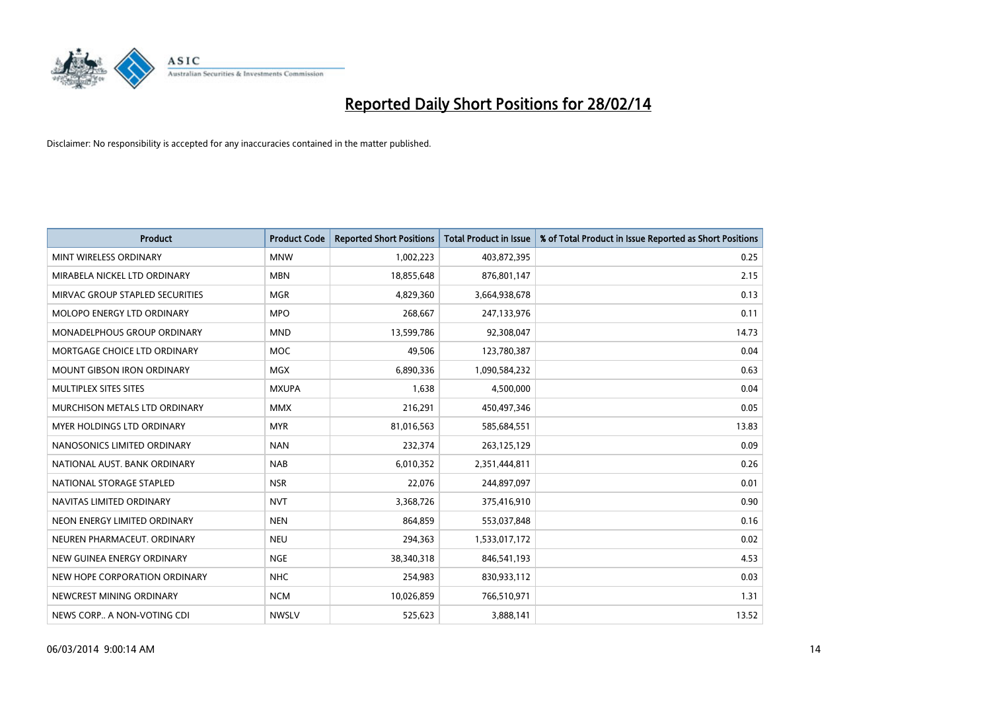

| <b>Product</b>                     | <b>Product Code</b> | <b>Reported Short Positions</b> | <b>Total Product in Issue</b> | % of Total Product in Issue Reported as Short Positions |
|------------------------------------|---------------------|---------------------------------|-------------------------------|---------------------------------------------------------|
| MINT WIRELESS ORDINARY             | <b>MNW</b>          | 1,002,223                       | 403,872,395                   | 0.25                                                    |
| MIRABELA NICKEL LTD ORDINARY       | <b>MBN</b>          | 18,855,648                      | 876,801,147                   | 2.15                                                    |
| MIRVAC GROUP STAPLED SECURITIES    | <b>MGR</b>          | 4,829,360                       | 3,664,938,678                 | 0.13                                                    |
| MOLOPO ENERGY LTD ORDINARY         | <b>MPO</b>          | 268,667                         | 247,133,976                   | 0.11                                                    |
| <b>MONADELPHOUS GROUP ORDINARY</b> | <b>MND</b>          | 13,599,786                      | 92,308,047                    | 14.73                                                   |
| MORTGAGE CHOICE LTD ORDINARY       | <b>MOC</b>          | 49,506                          | 123,780,387                   | 0.04                                                    |
| <b>MOUNT GIBSON IRON ORDINARY</b>  | <b>MGX</b>          | 6,890,336                       | 1,090,584,232                 | 0.63                                                    |
| MULTIPLEX SITES SITES              | <b>MXUPA</b>        | 1,638                           | 4,500,000                     | 0.04                                                    |
| MURCHISON METALS LTD ORDINARY      | <b>MMX</b>          | 216,291                         | 450,497,346                   | 0.05                                                    |
| MYER HOLDINGS LTD ORDINARY         | <b>MYR</b>          | 81,016,563                      | 585,684,551                   | 13.83                                                   |
| NANOSONICS LIMITED ORDINARY        | <b>NAN</b>          | 232,374                         | 263,125,129                   | 0.09                                                    |
| NATIONAL AUST, BANK ORDINARY       | <b>NAB</b>          | 6,010,352                       | 2,351,444,811                 | 0.26                                                    |
| NATIONAL STORAGE STAPLED           | <b>NSR</b>          | 22,076                          | 244,897,097                   | 0.01                                                    |
| NAVITAS LIMITED ORDINARY           | <b>NVT</b>          | 3,368,726                       | 375,416,910                   | 0.90                                                    |
| NEON ENERGY LIMITED ORDINARY       | <b>NEN</b>          | 864,859                         | 553,037,848                   | 0.16                                                    |
| NEUREN PHARMACEUT. ORDINARY        | <b>NEU</b>          | 294,363                         | 1,533,017,172                 | 0.02                                                    |
| NEW GUINEA ENERGY ORDINARY         | <b>NGE</b>          | 38,340,318                      | 846,541,193                   | 4.53                                                    |
| NEW HOPE CORPORATION ORDINARY      | <b>NHC</b>          | 254,983                         | 830,933,112                   | 0.03                                                    |
| NEWCREST MINING ORDINARY           | <b>NCM</b>          | 10,026,859                      | 766,510,971                   | 1.31                                                    |
| NEWS CORP A NON-VOTING CDI         | <b>NWSLV</b>        | 525,623                         | 3,888,141                     | 13.52                                                   |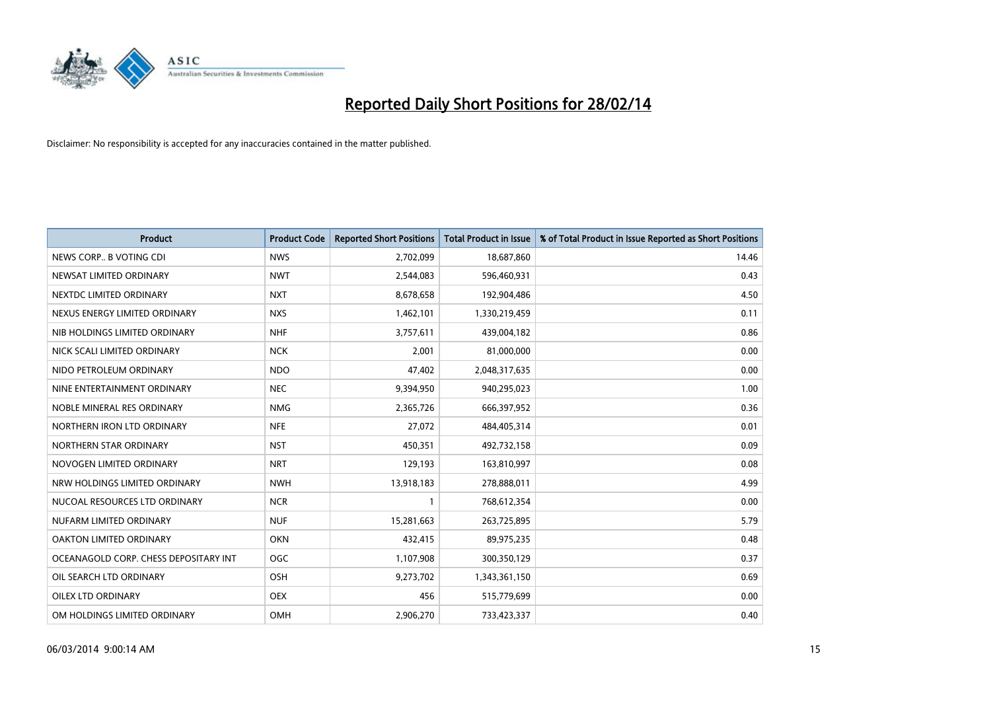

| <b>Product</b>                        | <b>Product Code</b> | <b>Reported Short Positions</b> | <b>Total Product in Issue</b> | % of Total Product in Issue Reported as Short Positions |
|---------------------------------------|---------------------|---------------------------------|-------------------------------|---------------------------------------------------------|
| NEWS CORP B VOTING CDI                | <b>NWS</b>          | 2,702,099                       | 18,687,860                    | 14.46                                                   |
| NEWSAT LIMITED ORDINARY               | <b>NWT</b>          | 2,544,083                       | 596,460,931                   | 0.43                                                    |
| NEXTDC LIMITED ORDINARY               | <b>NXT</b>          | 8,678,658                       | 192,904,486                   | 4.50                                                    |
| NEXUS ENERGY LIMITED ORDINARY         | <b>NXS</b>          | 1,462,101                       | 1,330,219,459                 | 0.11                                                    |
| NIB HOLDINGS LIMITED ORDINARY         | <b>NHF</b>          | 3,757,611                       | 439,004,182                   | 0.86                                                    |
| NICK SCALI LIMITED ORDINARY           | <b>NCK</b>          | 2,001                           | 81,000,000                    | 0.00                                                    |
| NIDO PETROLEUM ORDINARY               | <b>NDO</b>          | 47,402                          | 2,048,317,635                 | 0.00                                                    |
| NINE ENTERTAINMENT ORDINARY           | <b>NEC</b>          | 9,394,950                       | 940,295,023                   | 1.00                                                    |
| NOBLE MINERAL RES ORDINARY            | <b>NMG</b>          | 2,365,726                       | 666,397,952                   | 0.36                                                    |
| NORTHERN IRON LTD ORDINARY            | <b>NFE</b>          | 27,072                          | 484,405,314                   | 0.01                                                    |
| NORTHERN STAR ORDINARY                | <b>NST</b>          | 450,351                         | 492,732,158                   | 0.09                                                    |
| NOVOGEN LIMITED ORDINARY              | <b>NRT</b>          | 129,193                         | 163,810,997                   | 0.08                                                    |
| NRW HOLDINGS LIMITED ORDINARY         | <b>NWH</b>          | 13,918,183                      | 278,888,011                   | 4.99                                                    |
| NUCOAL RESOURCES LTD ORDINARY         | <b>NCR</b>          | $\mathbf{1}$                    | 768,612,354                   | 0.00                                                    |
| NUFARM LIMITED ORDINARY               | <b>NUF</b>          | 15,281,663                      | 263,725,895                   | 5.79                                                    |
| OAKTON LIMITED ORDINARY               | <b>OKN</b>          | 432,415                         | 89,975,235                    | 0.48                                                    |
| OCEANAGOLD CORP. CHESS DEPOSITARY INT | <b>OGC</b>          | 1,107,908                       | 300,350,129                   | 0.37                                                    |
| OIL SEARCH LTD ORDINARY               | OSH                 | 9,273,702                       | 1,343,361,150                 | 0.69                                                    |
| OILEX LTD ORDINARY                    | <b>OEX</b>          | 456                             | 515,779,699                   | 0.00                                                    |
| OM HOLDINGS LIMITED ORDINARY          | OMH                 | 2,906,270                       | 733,423,337                   | 0.40                                                    |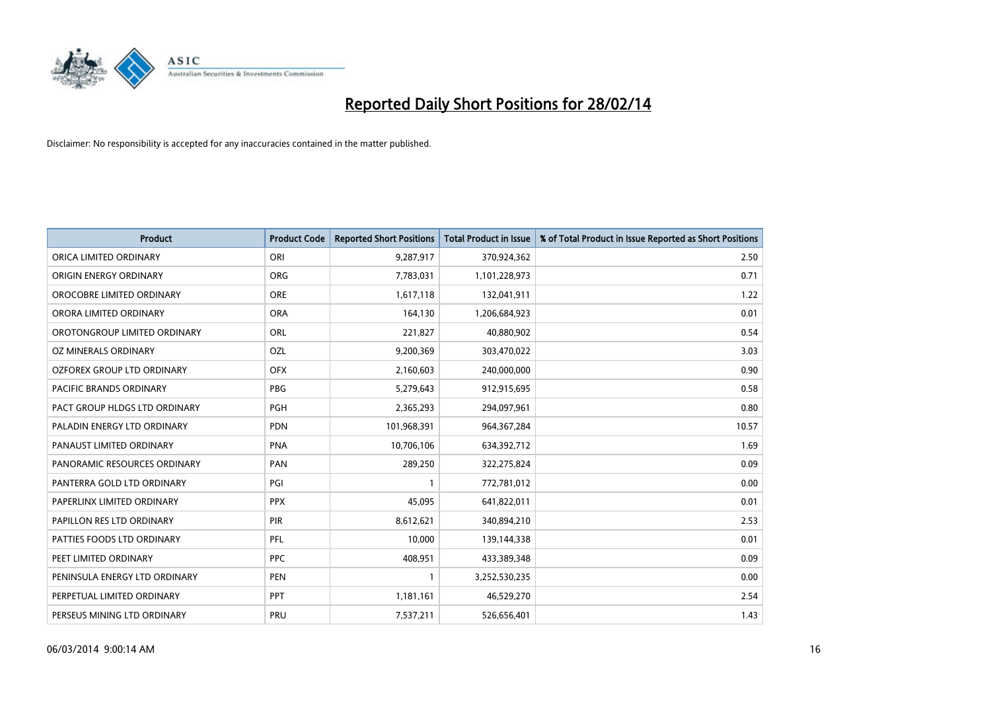

| <b>Product</b>                | <b>Product Code</b> | <b>Reported Short Positions</b> | <b>Total Product in Issue</b> | % of Total Product in Issue Reported as Short Positions |
|-------------------------------|---------------------|---------------------------------|-------------------------------|---------------------------------------------------------|
| ORICA LIMITED ORDINARY        | ORI                 | 9,287,917                       | 370,924,362                   | 2.50                                                    |
| ORIGIN ENERGY ORDINARY        | <b>ORG</b>          | 7,783,031                       | 1,101,228,973                 | 0.71                                                    |
| OROCOBRE LIMITED ORDINARY     | <b>ORE</b>          | 1,617,118                       | 132,041,911                   | 1.22                                                    |
| ORORA LIMITED ORDINARY        | <b>ORA</b>          | 164,130                         | 1,206,684,923                 | 0.01                                                    |
| OROTONGROUP LIMITED ORDINARY  | ORL                 | 221,827                         | 40,880,902                    | 0.54                                                    |
| OZ MINERALS ORDINARY          | <b>OZL</b>          | 9,200,369                       | 303,470,022                   | 3.03                                                    |
| OZFOREX GROUP LTD ORDINARY    | <b>OFX</b>          | 2,160,603                       | 240,000,000                   | 0.90                                                    |
| PACIFIC BRANDS ORDINARY       | <b>PBG</b>          | 5,279,643                       | 912,915,695                   | 0.58                                                    |
| PACT GROUP HLDGS LTD ORDINARY | <b>PGH</b>          | 2,365,293                       | 294,097,961                   | 0.80                                                    |
| PALADIN ENERGY LTD ORDINARY   | <b>PDN</b>          | 101,968,391                     | 964, 367, 284                 | 10.57                                                   |
| PANAUST LIMITED ORDINARY      | <b>PNA</b>          | 10,706,106                      | 634,392,712                   | 1.69                                                    |
| PANORAMIC RESOURCES ORDINARY  | PAN                 | 289,250                         | 322,275,824                   | 0.09                                                    |
| PANTERRA GOLD LTD ORDINARY    | PGI                 | $\mathbf{1}$                    | 772,781,012                   | 0.00                                                    |
| PAPERLINX LIMITED ORDINARY    | <b>PPX</b>          | 45,095                          | 641,822,011                   | 0.01                                                    |
| PAPILLON RES LTD ORDINARY     | PIR                 | 8,612,621                       | 340,894,210                   | 2.53                                                    |
| PATTIES FOODS LTD ORDINARY    | PFL                 | 10,000                          | 139,144,338                   | 0.01                                                    |
| PEET LIMITED ORDINARY         | <b>PPC</b>          | 408,951                         | 433,389,348                   | 0.09                                                    |
| PENINSULA ENERGY LTD ORDINARY | <b>PEN</b>          | 1                               | 3,252,530,235                 | 0.00                                                    |
| PERPETUAL LIMITED ORDINARY    | <b>PPT</b>          | 1,181,161                       | 46,529,270                    | 2.54                                                    |
| PERSEUS MINING LTD ORDINARY   | PRU                 | 7,537,211                       | 526,656,401                   | 1.43                                                    |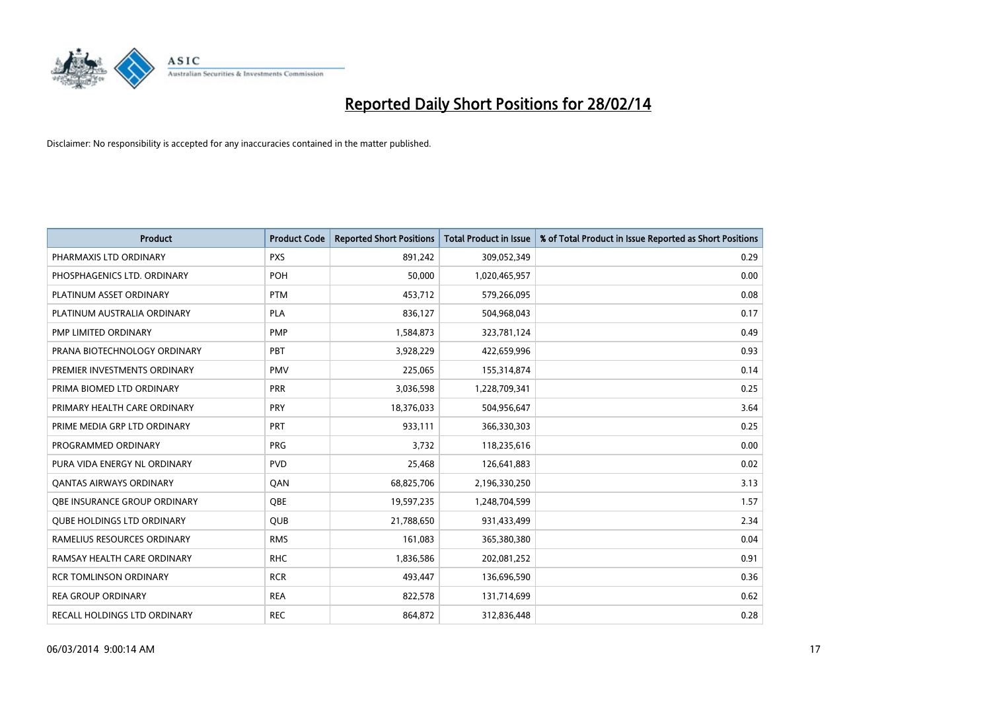

| <b>Product</b>                    | <b>Product Code</b> | <b>Reported Short Positions</b> | <b>Total Product in Issue</b> | % of Total Product in Issue Reported as Short Positions |
|-----------------------------------|---------------------|---------------------------------|-------------------------------|---------------------------------------------------------|
| PHARMAXIS LTD ORDINARY            | <b>PXS</b>          | 891,242                         | 309,052,349                   | 0.29                                                    |
| PHOSPHAGENICS LTD. ORDINARY       | <b>POH</b>          | 50,000                          | 1,020,465,957                 | 0.00                                                    |
| PLATINUM ASSET ORDINARY           | <b>PTM</b>          | 453,712                         | 579,266,095                   | 0.08                                                    |
| PLATINUM AUSTRALIA ORDINARY       | <b>PLA</b>          | 836,127                         | 504,968,043                   | 0.17                                                    |
| PMP LIMITED ORDINARY              | <b>PMP</b>          | 1,584,873                       | 323,781,124                   | 0.49                                                    |
| PRANA BIOTECHNOLOGY ORDINARY      | PBT                 | 3,928,229                       | 422,659,996                   | 0.93                                                    |
| PREMIER INVESTMENTS ORDINARY      | <b>PMV</b>          | 225,065                         | 155,314,874                   | 0.14                                                    |
| PRIMA BIOMED LTD ORDINARY         | <b>PRR</b>          | 3,036,598                       | 1,228,709,341                 | 0.25                                                    |
| PRIMARY HEALTH CARE ORDINARY      | <b>PRY</b>          | 18,376,033                      | 504,956,647                   | 3.64                                                    |
| PRIME MEDIA GRP LTD ORDINARY      | <b>PRT</b>          | 933,111                         | 366,330,303                   | 0.25                                                    |
| PROGRAMMED ORDINARY               | <b>PRG</b>          | 3,732                           | 118,235,616                   | 0.00                                                    |
| PURA VIDA ENERGY NL ORDINARY      | <b>PVD</b>          | 25,468                          | 126,641,883                   | 0.02                                                    |
| <b>QANTAS AIRWAYS ORDINARY</b>    | QAN                 | 68,825,706                      | 2,196,330,250                 | 3.13                                                    |
| OBE INSURANCE GROUP ORDINARY      | <b>OBE</b>          | 19,597,235                      | 1,248,704,599                 | 1.57                                                    |
| <b>QUBE HOLDINGS LTD ORDINARY</b> | QUB                 | 21,788,650                      | 931,433,499                   | 2.34                                                    |
| RAMELIUS RESOURCES ORDINARY       | <b>RMS</b>          | 161,083                         | 365,380,380                   | 0.04                                                    |
| RAMSAY HEALTH CARE ORDINARY       | <b>RHC</b>          | 1,836,586                       | 202,081,252                   | 0.91                                                    |
| <b>RCR TOMLINSON ORDINARY</b>     | <b>RCR</b>          | 493,447                         | 136,696,590                   | 0.36                                                    |
| <b>REA GROUP ORDINARY</b>         | <b>REA</b>          | 822,578                         | 131,714,699                   | 0.62                                                    |
| RECALL HOLDINGS LTD ORDINARY      | <b>REC</b>          | 864,872                         | 312,836,448                   | 0.28                                                    |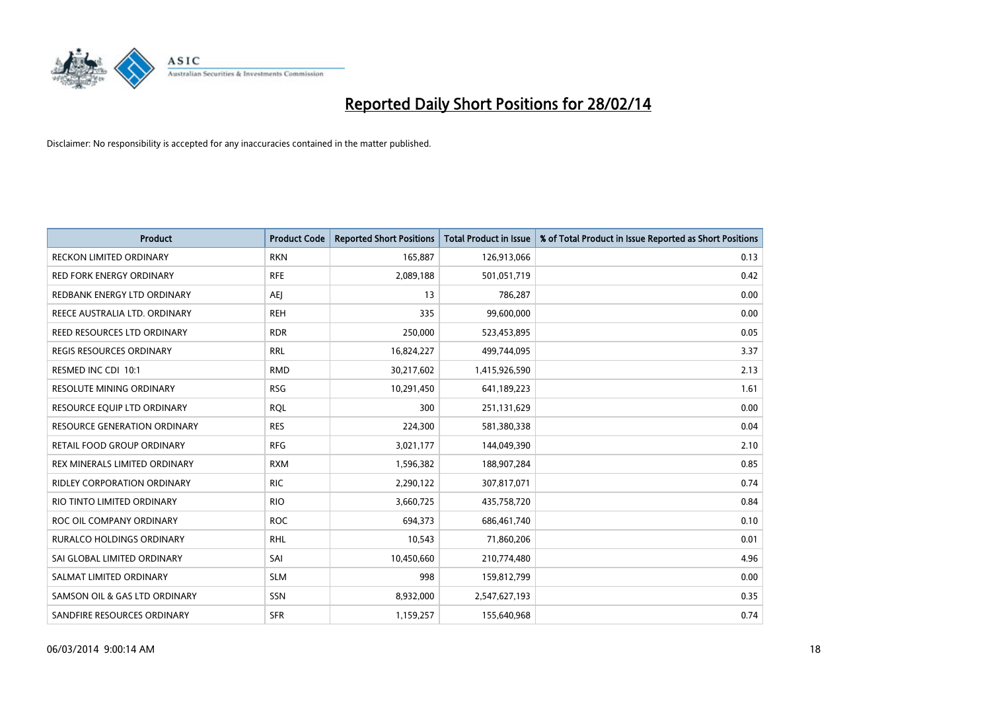

| <b>Product</b>                      | <b>Product Code</b> | <b>Reported Short Positions</b> | <b>Total Product in Issue</b> | % of Total Product in Issue Reported as Short Positions |
|-------------------------------------|---------------------|---------------------------------|-------------------------------|---------------------------------------------------------|
| <b>RECKON LIMITED ORDINARY</b>      | <b>RKN</b>          | 165,887                         | 126,913,066                   | 0.13                                                    |
| <b>RED FORK ENERGY ORDINARY</b>     | <b>RFE</b>          | 2,089,188                       | 501,051,719                   | 0.42                                                    |
| REDBANK ENERGY LTD ORDINARY         | <b>AEI</b>          | 13                              | 786,287                       | 0.00                                                    |
| REECE AUSTRALIA LTD. ORDINARY       | <b>REH</b>          | 335                             | 99,600,000                    | 0.00                                                    |
| REED RESOURCES LTD ORDINARY         | <b>RDR</b>          | 250,000                         | 523,453,895                   | 0.05                                                    |
| <b>REGIS RESOURCES ORDINARY</b>     | <b>RRL</b>          | 16,824,227                      | 499,744,095                   | 3.37                                                    |
| RESMED INC CDI 10:1                 | <b>RMD</b>          | 30,217,602                      | 1,415,926,590                 | 2.13                                                    |
| <b>RESOLUTE MINING ORDINARY</b>     | <b>RSG</b>          | 10,291,450                      | 641,189,223                   | 1.61                                                    |
| RESOURCE EQUIP LTD ORDINARY         | <b>ROL</b>          | 300                             | 251,131,629                   | 0.00                                                    |
| <b>RESOURCE GENERATION ORDINARY</b> | <b>RES</b>          | 224,300                         | 581,380,338                   | 0.04                                                    |
| RETAIL FOOD GROUP ORDINARY          | <b>RFG</b>          | 3,021,177                       | 144,049,390                   | 2.10                                                    |
| REX MINERALS LIMITED ORDINARY       | <b>RXM</b>          | 1,596,382                       | 188,907,284                   | 0.85                                                    |
| <b>RIDLEY CORPORATION ORDINARY</b>  | <b>RIC</b>          | 2,290,122                       | 307,817,071                   | 0.74                                                    |
| RIO TINTO LIMITED ORDINARY          | <b>RIO</b>          | 3,660,725                       | 435,758,720                   | 0.84                                                    |
| ROC OIL COMPANY ORDINARY            | <b>ROC</b>          | 694,373                         | 686,461,740                   | 0.10                                                    |
| <b>RURALCO HOLDINGS ORDINARY</b>    | <b>RHL</b>          | 10,543                          | 71,860,206                    | 0.01                                                    |
| SAI GLOBAL LIMITED ORDINARY         | SAI                 | 10,450,660                      | 210,774,480                   | 4.96                                                    |
| SALMAT LIMITED ORDINARY             | <b>SLM</b>          | 998                             | 159,812,799                   | 0.00                                                    |
| SAMSON OIL & GAS LTD ORDINARY       | SSN                 | 8,932,000                       | 2,547,627,193                 | 0.35                                                    |
| SANDFIRE RESOURCES ORDINARY         | <b>SFR</b>          | 1,159,257                       | 155,640,968                   | 0.74                                                    |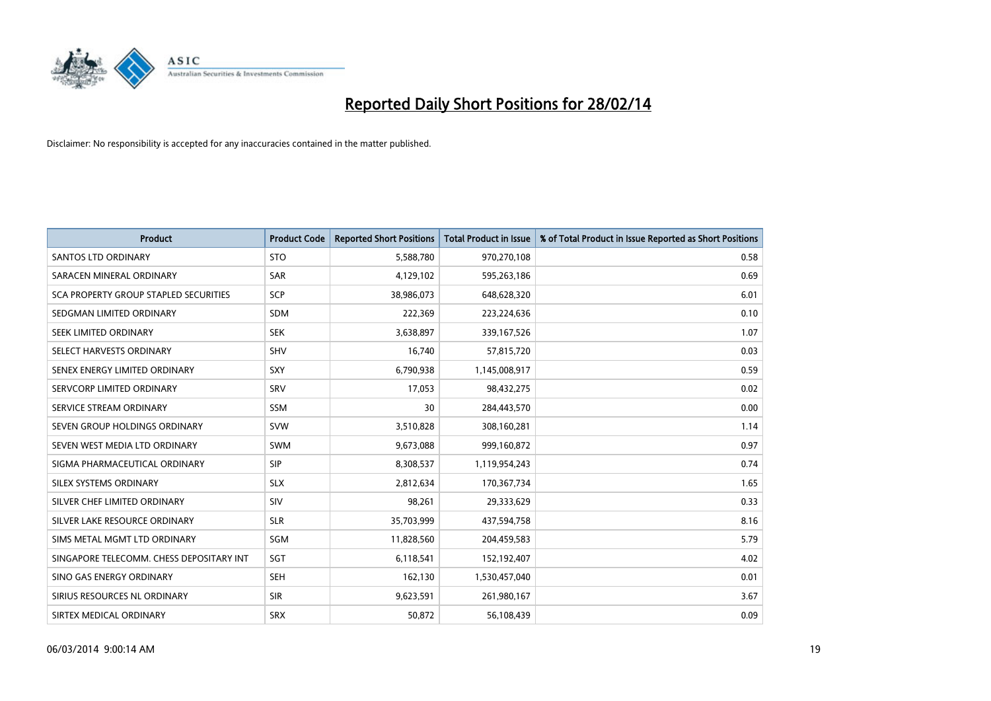

| <b>Product</b>                           | <b>Product Code</b> | <b>Reported Short Positions</b> | <b>Total Product in Issue</b> | % of Total Product in Issue Reported as Short Positions |
|------------------------------------------|---------------------|---------------------------------|-------------------------------|---------------------------------------------------------|
| <b>SANTOS LTD ORDINARY</b>               | <b>STO</b>          | 5,588,780                       | 970,270,108                   | 0.58                                                    |
| SARACEN MINERAL ORDINARY                 | <b>SAR</b>          | 4,129,102                       | 595,263,186                   | 0.69                                                    |
| SCA PROPERTY GROUP STAPLED SECURITIES    | <b>SCP</b>          | 38,986,073                      | 648,628,320                   | 6.01                                                    |
| SEDGMAN LIMITED ORDINARY                 | <b>SDM</b>          | 222,369                         | 223,224,636                   | 0.10                                                    |
| SEEK LIMITED ORDINARY                    | <b>SEK</b>          | 3,638,897                       | 339,167,526                   | 1.07                                                    |
| SELECT HARVESTS ORDINARY                 | SHV                 | 16,740                          | 57,815,720                    | 0.03                                                    |
| SENEX ENERGY LIMITED ORDINARY            | <b>SXY</b>          | 6,790,938                       | 1,145,008,917                 | 0.59                                                    |
| SERVCORP LIMITED ORDINARY                | SRV                 | 17,053                          | 98,432,275                    | 0.02                                                    |
| SERVICE STREAM ORDINARY                  | <b>SSM</b>          | 30                              | 284,443,570                   | 0.00                                                    |
| SEVEN GROUP HOLDINGS ORDINARY            | <b>SVW</b>          | 3,510,828                       | 308,160,281                   | 1.14                                                    |
| SEVEN WEST MEDIA LTD ORDINARY            | SWM                 | 9,673,088                       | 999,160,872                   | 0.97                                                    |
| SIGMA PHARMACEUTICAL ORDINARY            | <b>SIP</b>          | 8,308,537                       | 1,119,954,243                 | 0.74                                                    |
| SILEX SYSTEMS ORDINARY                   | <b>SLX</b>          | 2,812,634                       | 170,367,734                   | 1.65                                                    |
| SILVER CHEF LIMITED ORDINARY             | SIV                 | 98,261                          | 29,333,629                    | 0.33                                                    |
| SILVER LAKE RESOURCE ORDINARY            | <b>SLR</b>          | 35,703,999                      | 437,594,758                   | 8.16                                                    |
| SIMS METAL MGMT LTD ORDINARY             | SGM                 | 11,828,560                      | 204,459,583                   | 5.79                                                    |
| SINGAPORE TELECOMM. CHESS DEPOSITARY INT | SGT                 | 6,118,541                       | 152,192,407                   | 4.02                                                    |
| SINO GAS ENERGY ORDINARY                 | <b>SEH</b>          | 162,130                         | 1,530,457,040                 | 0.01                                                    |
| SIRIUS RESOURCES NL ORDINARY             | <b>SIR</b>          | 9,623,591                       | 261,980,167                   | 3.67                                                    |
| SIRTEX MEDICAL ORDINARY                  | <b>SRX</b>          | 50,872                          | 56,108,439                    | 0.09                                                    |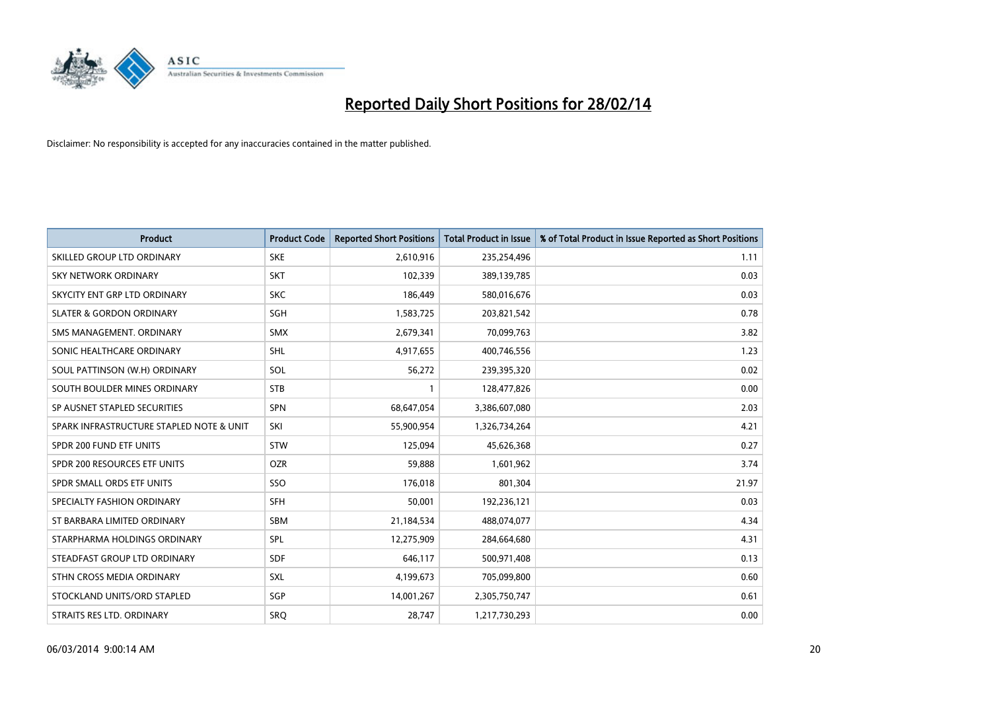

| <b>Product</b>                           | <b>Product Code</b> | <b>Reported Short Positions</b> | <b>Total Product in Issue</b> | % of Total Product in Issue Reported as Short Positions |
|------------------------------------------|---------------------|---------------------------------|-------------------------------|---------------------------------------------------------|
| SKILLED GROUP LTD ORDINARY               | <b>SKE</b>          | 2,610,916                       | 235,254,496                   | 1.11                                                    |
| SKY NETWORK ORDINARY                     | <b>SKT</b>          | 102,339                         | 389,139,785                   | 0.03                                                    |
| SKYCITY ENT GRP LTD ORDINARY             | <b>SKC</b>          | 186,449                         | 580,016,676                   | 0.03                                                    |
| <b>SLATER &amp; GORDON ORDINARY</b>      | SGH                 | 1,583,725                       | 203,821,542                   | 0.78                                                    |
| SMS MANAGEMENT, ORDINARY                 | SMX                 | 2,679,341                       | 70,099,763                    | 3.82                                                    |
| SONIC HEALTHCARE ORDINARY                | <b>SHL</b>          | 4,917,655                       | 400,746,556                   | 1.23                                                    |
| SOUL PATTINSON (W.H) ORDINARY            | SOL                 | 56,272                          | 239,395,320                   | 0.02                                                    |
| SOUTH BOULDER MINES ORDINARY             | <b>STB</b>          | $\mathbf{1}$                    | 128,477,826                   | 0.00                                                    |
| SP AUSNET STAPLED SECURITIES             | SPN                 | 68,647,054                      | 3,386,607,080                 | 2.03                                                    |
| SPARK INFRASTRUCTURE STAPLED NOTE & UNIT | SKI                 | 55,900,954                      | 1,326,734,264                 | 4.21                                                    |
| SPDR 200 FUND ETF UNITS                  | <b>STW</b>          | 125,094                         | 45,626,368                    | 0.27                                                    |
| SPDR 200 RESOURCES ETF UNITS             | <b>OZR</b>          | 59,888                          | 1,601,962                     | 3.74                                                    |
| SPDR SMALL ORDS ETF UNITS                | SSO                 | 176,018                         | 801,304                       | 21.97                                                   |
| SPECIALTY FASHION ORDINARY               | <b>SFH</b>          | 50,001                          | 192,236,121                   | 0.03                                                    |
| ST BARBARA LIMITED ORDINARY              | <b>SBM</b>          | 21,184,534                      | 488,074,077                   | 4.34                                                    |
| STARPHARMA HOLDINGS ORDINARY             | <b>SPL</b>          | 12,275,909                      | 284,664,680                   | 4.31                                                    |
| STEADFAST GROUP LTD ORDINARY             | <b>SDF</b>          | 646,117                         | 500,971,408                   | 0.13                                                    |
| STHN CROSS MEDIA ORDINARY                | SXL                 | 4,199,673                       | 705,099,800                   | 0.60                                                    |
| STOCKLAND UNITS/ORD STAPLED              | SGP                 | 14,001,267                      | 2,305,750,747                 | 0.61                                                    |
| STRAITS RES LTD. ORDINARY                | <b>SRQ</b>          | 28,747                          | 1,217,730,293                 | 0.00                                                    |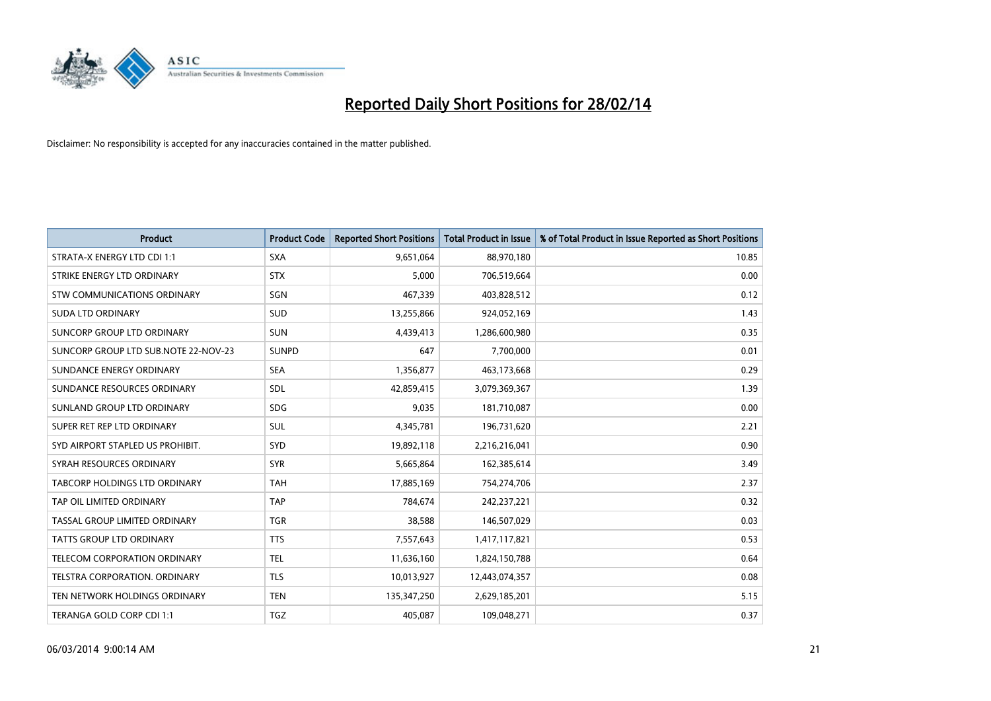

| <b>Product</b>                       | <b>Product Code</b> | <b>Reported Short Positions</b> | <b>Total Product in Issue</b> | % of Total Product in Issue Reported as Short Positions |
|--------------------------------------|---------------------|---------------------------------|-------------------------------|---------------------------------------------------------|
| STRATA-X ENERGY LTD CDI 1:1          | <b>SXA</b>          | 9,651,064                       | 88,970,180                    | 10.85                                                   |
| STRIKE ENERGY LTD ORDINARY           | <b>STX</b>          | 5,000                           | 706,519,664                   | 0.00                                                    |
| STW COMMUNICATIONS ORDINARY          | SGN                 | 467,339                         | 403,828,512                   | 0.12                                                    |
| <b>SUDA LTD ORDINARY</b>             | SUD                 | 13,255,866                      | 924,052,169                   | 1.43                                                    |
| SUNCORP GROUP LTD ORDINARY           | <b>SUN</b>          | 4,439,413                       | 1,286,600,980                 | 0.35                                                    |
| SUNCORP GROUP LTD SUB.NOTE 22-NOV-23 | <b>SUNPD</b>        | 647                             | 7,700,000                     | 0.01                                                    |
| SUNDANCE ENERGY ORDINARY             | <b>SEA</b>          | 1,356,877                       | 463,173,668                   | 0.29                                                    |
| SUNDANCE RESOURCES ORDINARY          | SDL                 | 42,859,415                      | 3,079,369,367                 | 1.39                                                    |
| SUNLAND GROUP LTD ORDINARY           | <b>SDG</b>          | 9,035                           | 181,710,087                   | 0.00                                                    |
| SUPER RET REP LTD ORDINARY           | <b>SUL</b>          | 4,345,781                       | 196,731,620                   | 2.21                                                    |
| SYD AIRPORT STAPLED US PROHIBIT.     | <b>SYD</b>          | 19,892,118                      | 2,216,216,041                 | 0.90                                                    |
| SYRAH RESOURCES ORDINARY             | <b>SYR</b>          | 5,665,864                       | 162,385,614                   | 3.49                                                    |
| TABCORP HOLDINGS LTD ORDINARY        | <b>TAH</b>          | 17,885,169                      | 754,274,706                   | 2.37                                                    |
| TAP OIL LIMITED ORDINARY             | <b>TAP</b>          | 784,674                         | 242,237,221                   | 0.32                                                    |
| TASSAL GROUP LIMITED ORDINARY        | <b>TGR</b>          | 38,588                          | 146,507,029                   | 0.03                                                    |
| TATTS GROUP LTD ORDINARY             | <b>TTS</b>          | 7,557,643                       | 1,417,117,821                 | 0.53                                                    |
| TELECOM CORPORATION ORDINARY         | <b>TEL</b>          | 11,636,160                      | 1,824,150,788                 | 0.64                                                    |
| TELSTRA CORPORATION. ORDINARY        | <b>TLS</b>          | 10,013,927                      | 12,443,074,357                | 0.08                                                    |
| TEN NETWORK HOLDINGS ORDINARY        | <b>TEN</b>          | 135,347,250                     | 2,629,185,201                 | 5.15                                                    |
| TERANGA GOLD CORP CDI 1:1            | <b>TGZ</b>          | 405,087                         | 109,048,271                   | 0.37                                                    |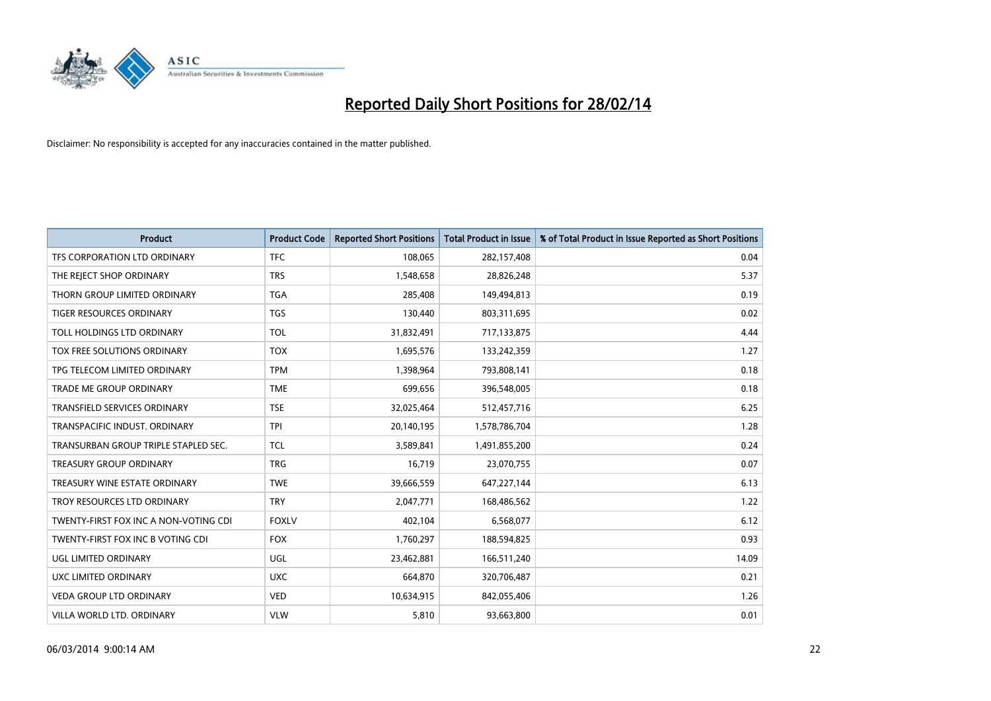

| <b>Product</b>                        | <b>Product Code</b> | <b>Reported Short Positions</b> | <b>Total Product in Issue</b> | % of Total Product in Issue Reported as Short Positions |
|---------------------------------------|---------------------|---------------------------------|-------------------------------|---------------------------------------------------------|
| TFS CORPORATION LTD ORDINARY          | <b>TFC</b>          | 108,065                         | 282,157,408                   | 0.04                                                    |
| THE REJECT SHOP ORDINARY              | <b>TRS</b>          | 1,548,658                       | 28,826,248                    | 5.37                                                    |
| THORN GROUP LIMITED ORDINARY          | <b>TGA</b>          | 285,408                         | 149,494,813                   | 0.19                                                    |
| <b>TIGER RESOURCES ORDINARY</b>       | <b>TGS</b>          | 130,440                         | 803,311,695                   | 0.02                                                    |
| TOLL HOLDINGS LTD ORDINARY            | <b>TOL</b>          | 31,832,491                      | 717,133,875                   | 4.44                                                    |
| TOX FREE SOLUTIONS ORDINARY           | <b>TOX</b>          | 1,695,576                       | 133,242,359                   | 1.27                                                    |
| TPG TELECOM LIMITED ORDINARY          | <b>TPM</b>          | 1,398,964                       | 793,808,141                   | 0.18                                                    |
| TRADE ME GROUP ORDINARY               | <b>TME</b>          | 699,656                         | 396,548,005                   | 0.18                                                    |
| <b>TRANSFIELD SERVICES ORDINARY</b>   | <b>TSE</b>          | 32,025,464                      | 512,457,716                   | 6.25                                                    |
| TRANSPACIFIC INDUST, ORDINARY         | <b>TPI</b>          | 20,140,195                      | 1,578,786,704                 | 1.28                                                    |
| TRANSURBAN GROUP TRIPLE STAPLED SEC.  | <b>TCL</b>          | 3,589,841                       | 1,491,855,200                 | 0.24                                                    |
| TREASURY GROUP ORDINARY               | <b>TRG</b>          | 16,719                          | 23,070,755                    | 0.07                                                    |
| TREASURY WINE ESTATE ORDINARY         | <b>TWE</b>          | 39,666,559                      | 647,227,144                   | 6.13                                                    |
| TROY RESOURCES LTD ORDINARY           | <b>TRY</b>          | 2,047,771                       | 168,486,562                   | 1.22                                                    |
| TWENTY-FIRST FOX INC A NON-VOTING CDI | <b>FOXLV</b>        | 402,104                         | 6,568,077                     | 6.12                                                    |
| TWENTY-FIRST FOX INC B VOTING CDI     | <b>FOX</b>          | 1,760,297                       | 188,594,825                   | 0.93                                                    |
| UGL LIMITED ORDINARY                  | UGL                 | 23,462,881                      | 166,511,240                   | 14.09                                                   |
| UXC LIMITED ORDINARY                  | <b>UXC</b>          | 664,870                         | 320,706,487                   | 0.21                                                    |
| <b>VEDA GROUP LTD ORDINARY</b>        | <b>VED</b>          | 10,634,915                      | 842,055,406                   | 1.26                                                    |
| VILLA WORLD LTD. ORDINARY             | <b>VLW</b>          | 5,810                           | 93,663,800                    | 0.01                                                    |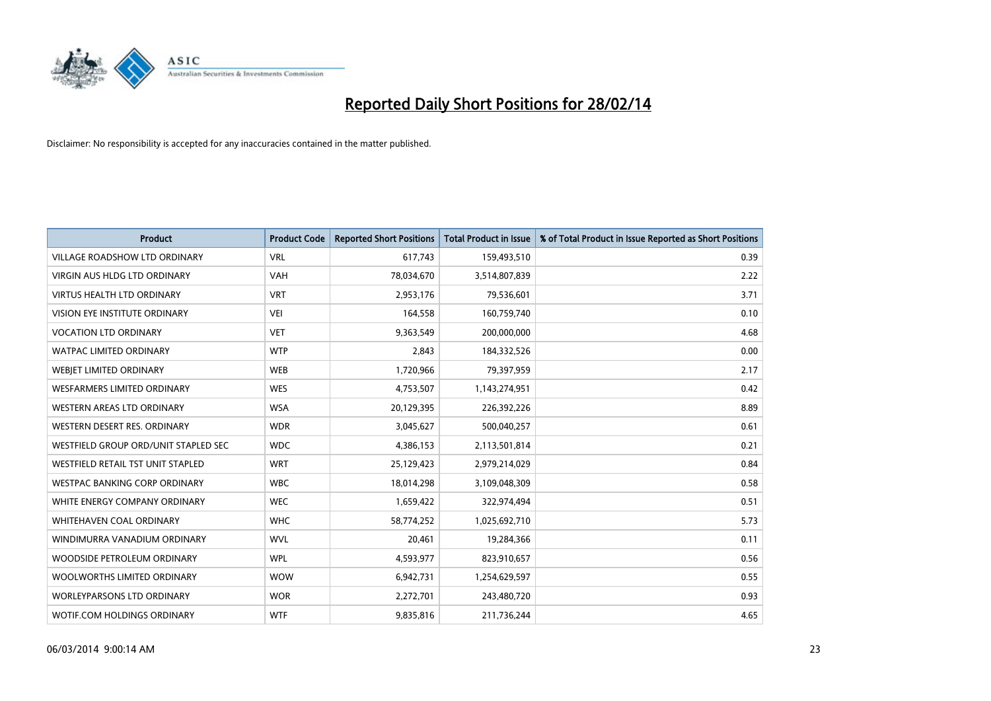

| <b>Product</b>                       | <b>Product Code</b> | <b>Reported Short Positions</b> | <b>Total Product in Issue</b> | % of Total Product in Issue Reported as Short Positions |
|--------------------------------------|---------------------|---------------------------------|-------------------------------|---------------------------------------------------------|
| VILLAGE ROADSHOW LTD ORDINARY        | <b>VRL</b>          | 617,743                         | 159,493,510                   | 0.39                                                    |
| <b>VIRGIN AUS HLDG LTD ORDINARY</b>  | <b>VAH</b>          | 78,034,670                      | 3,514,807,839                 | 2.22                                                    |
| <b>VIRTUS HEALTH LTD ORDINARY</b>    | <b>VRT</b>          | 2,953,176                       | 79,536,601                    | 3.71                                                    |
| <b>VISION EYE INSTITUTE ORDINARY</b> | <b>VEI</b>          | 164,558                         | 160,759,740                   | 0.10                                                    |
| <b>VOCATION LTD ORDINARY</b>         | <b>VET</b>          | 9,363,549                       | 200,000,000                   | 4.68                                                    |
| <b>WATPAC LIMITED ORDINARY</b>       | <b>WTP</b>          | 2,843                           | 184,332,526                   | 0.00                                                    |
| <b>WEBIET LIMITED ORDINARY</b>       | <b>WEB</b>          | 1,720,966                       | 79,397,959                    | 2.17                                                    |
| <b>WESFARMERS LIMITED ORDINARY</b>   | <b>WES</b>          | 4,753,507                       | 1,143,274,951                 | 0.42                                                    |
| WESTERN AREAS LTD ORDINARY           | <b>WSA</b>          | 20,129,395                      | 226,392,226                   | 8.89                                                    |
| WESTERN DESERT RES. ORDINARY         | <b>WDR</b>          | 3,045,627                       | 500,040,257                   | 0.61                                                    |
| WESTFIELD GROUP ORD/UNIT STAPLED SEC | <b>WDC</b>          | 4,386,153                       | 2,113,501,814                 | 0.21                                                    |
| WESTFIELD RETAIL TST UNIT STAPLED    | <b>WRT</b>          | 25,129,423                      | 2,979,214,029                 | 0.84                                                    |
| <b>WESTPAC BANKING CORP ORDINARY</b> | <b>WBC</b>          | 18,014,298                      | 3,109,048,309                 | 0.58                                                    |
| WHITE ENERGY COMPANY ORDINARY        | <b>WEC</b>          | 1,659,422                       | 322,974,494                   | 0.51                                                    |
| WHITEHAVEN COAL ORDINARY             | <b>WHC</b>          | 58,774,252                      | 1,025,692,710                 | 5.73                                                    |
| WINDIMURRA VANADIUM ORDINARY         | <b>WVL</b>          | 20,461                          | 19,284,366                    | 0.11                                                    |
| WOODSIDE PETROLEUM ORDINARY          | <b>WPL</b>          | 4,593,977                       | 823,910,657                   | 0.56                                                    |
| WOOLWORTHS LIMITED ORDINARY          | <b>WOW</b>          | 6,942,731                       | 1,254,629,597                 | 0.55                                                    |
| WORLEYPARSONS LTD ORDINARY           | <b>WOR</b>          | 2,272,701                       | 243,480,720                   | 0.93                                                    |
| WOTIF.COM HOLDINGS ORDINARY          | <b>WTF</b>          | 9,835,816                       | 211,736,244                   | 4.65                                                    |